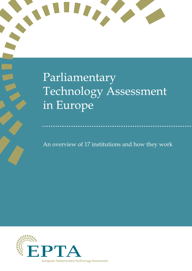

An overview of 17 institutions and how they work

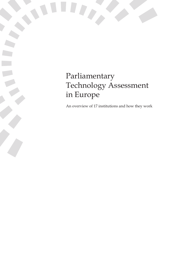# Parliamentary Technology Assessment in Europe

An overview of 17 institutions and how they work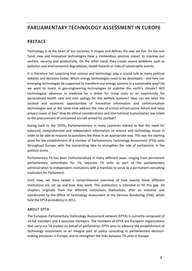## **PARLIAMENTARY TECHNOLOGY ASSESSMENT IN EUROPE**

#### **PREFACE**

Technology is at the heart of our societies. It shapes and defines the way we live. On the one hand, new and innovative technologies have a tremendous positive impact to improve our welfare, security and productivity. On the other hand, they create severe problems such as pollution and environmental degradation, health hazards or risks of catastrophic events.

It is therefore not surprising that science and technology play a crucial role in many political debates and decisions today. Which energy technologies need to be developed – and how can emerging technologies be supported to transform our energy systems in a sustainable way? Do we want to invest in geo-engineering technologies to stabilise the earth's climate? Will technological advances in medicine be a driver for rising costs or an opportunity for personalised health care and cost savings for the welfare systems? How can we seize the societal and economic opportunities of innovative information and communication technologies and at the same time address the risks of critical infrastructure failure and keep privacy issues at bay? How do ethical considerations and international humanitarian law relate to the procurement of unmanned aircraft armed for combat?

Dating back to the 1970s, Parliamentarians in many countries started to feel the need for balanced, comprehensive and independent information on science and technology issues in order to be able to respond to questions like these in an appropriate way. This was the starting point for the establishment of a number of Parliamentary Technology Assessment (PTA) units throughout Europe, with the overarching idea to strengthen the role of parliaments in the political arena.

Parliamentary TA has been institutionalised in many different ways: ranging from permanent parliamentary committees for TA, separate TA units as part of the parliamentary administration to independent institutions with a mandate to serve as a permanent consulting institution for Parliament.

Until now, we have lacked a comprehensive overview of how exactly these different institutions are set up and how they work. This publication is intended to fill this gap. All chapters originate from the different institutions themselves, after an initiative and coordinated by the Office of Technology Assessment at the German Bundestag (TAB), which held the EPTA presidency in 2011.

#### **ABOUT EPTA**

The European Parliamentary Technology Assessment network (EPTA) is currently composed of 14 full members and 4 associate members. The members of EPTA are European organisations that carry out TA studies on behalf of parliaments. EPTA aims to advance the establishment of technology assessment as an integral part of policy consulting in parliamentary decision‐ making processes in Europe, and to strengthen the links between TA units in Europe.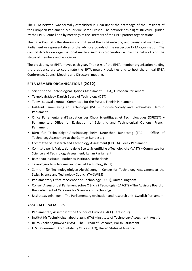The EPTA network was formally established in 1990 under the patronage of the President of the European Parliament, Mr Enrique Baron Crespo. The network has a light structure, guided by the EPTA Council and by meetings of the Directors of the EPTA partner organisations.

The EPTA Council is the steering committee of the EPTA network, and consists of members of Parliament or representatives of the advisory boards of the respective EPTA organisation. The council decides on organisational matters such as co-operation within the network and the status of members and associates.

The presidency of EPTA moves each year. The tasks of the EPTA member organisation holding the presidency are to coordinate the EPTA network activities and to host the annual EPTA Conference, Council Meeting and Directors' meeting.

#### **EPTA MEMBER ORGANISATIONS (2012)**

- **>** Scientific and Technological Options Assessment (STOA), European Parliament
- **>** Teknologirådet Danish Board of Technology (DBT)
- **>** Tulevaisuusvaliokunta Committee for the Future, Finnish Parliament
- **>** Instituut Samenleving en Technologie (IST) Institute Society and Technology, Flemish Parliament
- **>** Office Parlementaire d'Evaluation des Choix Scientifiques et Technologiques (OPECST) Parliamentary Office for Evaluation of Scientific and Technological Options, French Parliament
- **>** Büro für Technikfolgen‐Abschätzung beim Deutschen Bundestag (TAB) Office of Technology Assessment at the German Bundestag
- **>** Committee of Research and Technology Assessment (GPCTA), Greek Parliament
- **>** Comitato per la Valutazione delle Scelte Scientifiche e Tecnologiche (VAST) Committee for Science and Technology Assessment, Italian Parliament
- **>** Rathenau Instituut Rathenau Institute, Netherlands
- **>** Teknologirådet Norwegian Board of Technology (NBT)
- **>** Zentrum für Technologiefolgen‐Abschätzung Centre for Technology Assessment at the Swiss Science and Technology Council (TA‐SWISS)
- **>** Parliamentary Office of Science and Technology (POST), United Kingdom
- **>** Consell Assessor del Parlament sobre Ciència i Tecnologia (CAPCIT) The Advisory Board of the Parliament of Catalonia for Science and Technology
- **>** Utskottsavdelningen The Parliamentary evaluation and research unit, Swedish Parliament

#### **ASSOCIATE MEMBERS**

- **>** Parliamentary Assembly of the Council of Europe (PACE), Strasbourg
- **>** Institut für Technikfolgenabschätzung (ITA) Institute of Technology Assessment, Austria
- **>** Biuro Analiz Sejmowych (BAS) The Bureau of Research, Polish Parliament
- **>** U.S. Government Accountability Office (GAO), United States of America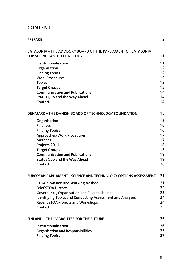# **CONTENT**

| <b>PREFACE</b>                                                                                                                                                                                                                                      | 3                                                        |
|-----------------------------------------------------------------------------------------------------------------------------------------------------------------------------------------------------------------------------------------------------|----------------------------------------------------------|
| <b>CATALONIA - THE ADVISORY BOARD OF THE PARLIAMENT OF CATALONIA</b><br><b>FOR SCIENCE AND TECHNOLOGY</b>                                                                                                                                           | 11                                                       |
| Institutionalisation<br>Organisation<br><b>Finding Topics</b><br><b>Work Procedures</b><br><b>Topics</b><br><b>Target Groups</b><br><b>Communication and Publications</b><br><b>Status Quo and the Way Ahead</b><br>Contact                         | 11<br>12<br>12<br>12<br>13<br>13<br>14<br>14<br>14       |
| DENMARK - THE DANISH BOARD OF TECHNOLOGY FOUNDATION                                                                                                                                                                                                 | 15                                                       |
| Organisation<br><b>Finances</b><br><b>Finding Topics</b><br><b>Approaches/Work Procedures</b><br><b>Methods</b><br>Projects 2011<br><b>Target Groups</b><br><b>Communication and Publications</b><br><b>Status Quo and the Way Ahead</b><br>Contact | 15<br>16<br>16<br>17<br>17<br>18<br>18<br>19<br>19<br>20 |
| EUROPEAN PARLIAMENT - SCIENCE AND TECHNOLOGY OPTIONS ASSESSMENT                                                                                                                                                                                     | 21                                                       |
| STOA's Mission and Working Method<br><b>Brief STOA History</b><br>Governance, Organisation and Responsibilities<br><b>Identifying Topics and Conducting Assessment and Analyses</b><br><b>Recent STOA Projects and Workshops</b><br>Contact         | 21<br>22<br>23<br>24<br>24<br>25                         |
| <b>FINLAND - THE COMMITTEE FOR THE FUTURE</b>                                                                                                                                                                                                       | 26                                                       |
| Institutionalisation<br><b>Organisation and Responsibilities</b><br><b>Finding Topics</b>                                                                                                                                                           | 26<br>26<br>27                                           |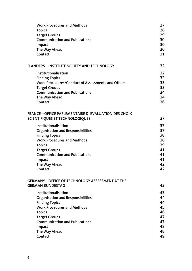| <b>Work Procedures and Methods</b>                                                             | 27 |
|------------------------------------------------------------------------------------------------|----|
| <b>Topics</b>                                                                                  | 28 |
| <b>Target Groups</b>                                                                           | 29 |
| <b>Communication and Publications</b>                                                          | 30 |
| Impact                                                                                         | 30 |
| The Way Ahead                                                                                  | 30 |
| Contact                                                                                        | 31 |
| <b>FLANDERS - INSTITUTE SOCIETY AND TECHNOLOGY</b>                                             | 32 |
| Institutionalisation                                                                           | 32 |
| <b>Finding Topics</b>                                                                          | 32 |
| Work Procedures/Conduct of Assessments and Others                                              | 33 |
| <b>Target Groups</b>                                                                           | 33 |
| <b>Communication and Publications</b>                                                          | 34 |
| The Way Ahead                                                                                  | 34 |
| Contact                                                                                        | 36 |
| <b>FRANCE - OFFICE PARLEMENTAIRE D'EVALUATION DES CHOIX</b><br>SCIENTIFIQUES ET TECHNOLOGIQUES | 37 |
| Institutionalisation                                                                           | 37 |
| <b>Organisation and Responsibilities</b>                                                       | 37 |
| <b>Finding Topics</b>                                                                          | 38 |
| <b>Work Procedures and Methods</b>                                                             | 38 |
| <b>Topics</b>                                                                                  | 39 |
| <b>Target Groups</b>                                                                           | 41 |
| <b>Communication and Publications</b>                                                          | 41 |
| Impact                                                                                         | 41 |
| The Way Ahead                                                                                  | 42 |
| Contact                                                                                        | 42 |
| <b>GERMANY - OFFICE OF TECHNOLOGY ASSESSMENT AT THE</b><br><b>GERMAN BUNDESTAG</b>             | 43 |
| Institutionalisation                                                                           | 43 |
| <b>Organisation and Responsibilities</b>                                                       | 44 |
| <b>Finding Topics</b>                                                                          | 44 |
| <b>Work Procedures and Methods</b>                                                             | 45 |
| <b>Topics</b>                                                                                  | 46 |
| <b>Target Groups</b>                                                                           | 47 |
| <b>Communication and Publications</b>                                                          | 47 |
| Impact                                                                                         | 48 |
| The Way Ahead                                                                                  | 48 |
| Contact                                                                                        | 49 |
|                                                                                                |    |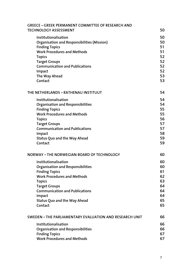| <b>GREECE - GREEK PERMANENT COMMITTEE OF RESEARCH AND</b><br><b>TECHNOLOGY ASSESSMENT</b> | 50             |
|-------------------------------------------------------------------------------------------|----------------|
| Institutionalisation<br><b>Organisation and Responsibilities (Mission)</b>                | 50<br>50<br>51 |
| <b>Finding Topics</b><br><b>Work Procedures and Methods</b>                               | 51             |
| <b>Topics</b>                                                                             | 52             |
| <b>Target Groups</b>                                                                      | 52             |
| <b>Communication and Publications</b>                                                     | 52             |
| Impact                                                                                    | 52             |
| The Way Ahead                                                                             | 53             |
| Contact                                                                                   | 53             |
| THE NETHERLANDS - RATHENAU INSTITUUT                                                      | 54             |
| Institutionalisation                                                                      | 54             |
| <b>Organisation and Responsibilities</b>                                                  | 54             |
| <b>Finding Topics</b>                                                                     | 55             |
| <b>Work Procedures and Methods</b>                                                        | 55             |
| <b>Topics</b>                                                                             | 56             |
| <b>Target Groups</b>                                                                      | 57             |
| <b>Communication and Publications</b>                                                     | 57<br>58       |
| Impact<br><b>Status Quo and the Way Ahead</b>                                             | 59             |
| Contact                                                                                   | 59             |
| NORWAY - THE NORWEGIAN BOARD OF TECHNOLOGY                                                | 60             |
| Institutionalisation                                                                      | 60             |
| <b>Organisation and Responsibilities</b>                                                  | 60             |
| <b>Finding Topics</b>                                                                     | 61             |
| <b>Work Procedures and Methods</b>                                                        | 62             |
| <b>Topics</b>                                                                             | 63             |
| <b>Target Groups</b>                                                                      | 64             |
| <b>Communication and Publications</b>                                                     | 64             |
| Impact                                                                                    | 64             |
| <b>Status Quo and the Way Ahead</b><br>Contact                                            | 65<br>65       |
|                                                                                           |                |
| SWEDEN - THE PARLIAMENTARY EVALUATION AND RESEARCH UNIT                                   | 66             |
| Institutionalisation                                                                      | 66             |
| <b>Organisation and Responsibilities</b>                                                  | 66             |
| <b>Finding Topics</b>                                                                     | 67             |
| <b>Work Procedures and Methods</b>                                                        | 67             |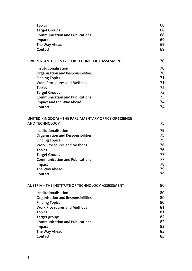| <b>Topics</b>                                                                 | 68 |
|-------------------------------------------------------------------------------|----|
| <b>Target Groups</b>                                                          | 68 |
| <b>Communication and Publications</b>                                         | 68 |
| Impact                                                                        | 69 |
| The Way Ahead                                                                 | 69 |
| Contact                                                                       | 69 |
| <b>SWITZERLAND - CENTRE FOR TECHNOLOGY ASSESMENT</b>                          | 70 |
| Institutionalisation                                                          | 70 |
| <b>Organisation and Responsibilities</b>                                      | 70 |
| <b>Finding Topics</b>                                                         | 71 |
| <b>Work Procedures and Methods</b>                                            | 71 |
| <b>Topics</b>                                                                 | 72 |
| <b>Target Groups</b>                                                          | 73 |
| <b>Communication and Publications</b>                                         | 73 |
| <b>Impact and the Way Ahead</b>                                               | 74 |
| Contact                                                                       | 74 |
| UNITED KINGDOM - THE PARLIAMENTARY OFFICE OF SCIENCE<br><b>AND TECHNOLOGY</b> | 75 |
| Institutionalisation                                                          | 75 |
| <b>Organisation and Responsibilities</b>                                      | 75 |
| <b>Finding Topics</b>                                                         | 75 |
| <b>Work Procedures and Methods</b>                                            | 76 |
| <b>Topics</b>                                                                 | 76 |
| <b>Target Groups</b>                                                          | 77 |
| <b>Communication and Publications</b>                                         | 77 |
| Impact                                                                        | 78 |
| The Way Ahead                                                                 | 79 |
| Contact                                                                       | 79 |
| <b>AUSTRIA - THE INSTITUTE OF TECHNOLOGY ASSESSMENT</b>                       | 80 |
| Institutionalisation                                                          | 80 |
| <b>Organisation and Responsibilities</b>                                      | 80 |
| <b>Finding Topics</b>                                                         | 80 |
| <b>Work Procedures and Methods</b>                                            | 81 |
| <b>Topics</b>                                                                 | 81 |
| <b>Target groups</b>                                                          | 82 |
| <b>Communication and Publications</b>                                         | 82 |
| Impact                                                                        | 83 |
| The Way Ahead                                                                 | 83 |
| Contact                                                                       | 83 |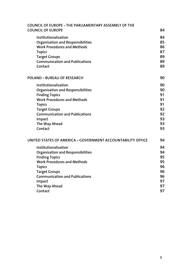| 84                                                       |
|----------------------------------------------------------|
| 84<br>85<br>86<br>87<br>89<br>89<br>89                   |
| 90                                                       |
| 90<br>90<br>91<br>91<br>91<br>92<br>92<br>93<br>93<br>93 |
| 94                                                       |
| 94<br>94<br>95<br>95<br>96<br>96<br>96<br>97<br>97<br>97 |
|                                                          |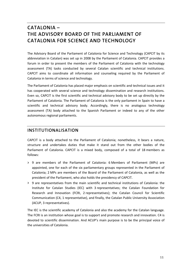# **CATALONIA – THE ADVISORY BOARD OF THE PARLIAMENT OF CATALONIA FOR SCIENCE AND TECHNOLOGY**

The Advisory Board of the Parliament of Catalonia for Science and Technology (CAPCIT by its abbreviation in Catalan) was set up in 2008 by the Parliament of Catalonia. CAPCIT provides a forum in order to present the members of the Parliament of Catalonia with the technology assessment (TA) tasks conducted by several Catalan scientific and technical institutions. CAPCIT aims to coordinate all information and counseling required by the Parliament of Catalonia in terms of science and technology.

The Parliament of Catalonia has placed major emphasis on scientific and technical issues and it has cooperated with several science and technology dissemination and research institutions. Even so, CAPCIT is the first scientific and technical advisory body to be set up directly by the Parliament of Catalonia. The Parliament of Catalonia is the only parliament in Spain to have a scientific and technical advisory body. Accordingly, there is no analogous technology assessment (TA) body attached to the Spanish Parliament or indeed to any of the other autonomous regional parliaments.

#### **INSTITUTIONALISATION**

CAPCIT is a body attached to the Parliament of Catalonia; nonetheless, it bears a nature, structure and undertakes duties that make it stand out from the other bodies of the Parliament of Catalonia. CAPCIT is a mixed body, composed of a total of 18 members as follows:

- **>** 9 are members of the Parliament of Catalonia: 6 Members of Parliament (MPs) are appointed, one for each of the six parliamentary groups represented in the Parliament of Catalonia; 2 MPs are members of the Board of the Parliament of Catalonia, as well as the president of the Parliament, who also holds the presidency of CAPCIT.
- **>** 9 are representatives from the main scientific and technical institutions of Catalonia: the Institute for Catalan Studies (IEC) with 3 representatives; the Catalan Foundation for Research and Innovation (FCRI, 2 representatives); the Catalan Council for Scientific Communication (C4, 1 representative), and finally, the Catalan Public University Association (ACUP, 3 representatives).

The IEC is the scientific academy of Catalonia and also the academy for the Catalan language. The FCRI is an institution whose goal is to support and promote research and innovation. C4 is devoted to scientific dissemination. And ACUP's main purpose is to be the principal voice of the universities of Catalonia.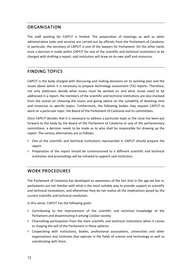#### **ORGANISATION**

The staff working for CAPCIT is limited. The preparation of meetings as well as other administrative tasks and services are carried out by officials from the Parliament of Catalonia. In particular, the secretary of CAPCIT is one of the lawyers for Parliament. On the other hand, once a decision is made within CAPCIT for one of the scientific and technical institutions to be charged with drafting a report, said institution will draw on its own staff and resources.

### **FINDING TOPICS**

CAPCIT is the body charged with discussing and making decisions on its working plan and the issues about which it is necessary to prepare technology assessment (TA) reports. Therefore, not only politicians decide what issues must be worked on and what issues need to be addressed in a report, the members of the scientific and technical institutions are also involved from the outset on choosing the issues and giving advice on the suitability of devoting time and resources to specific topics. Furthermore, the following bodies may request CAPCIT to work on a particular topic: the Board of the Parliament of Catalonia and its committees.

Once CAPCIT decides that it is necessary to address a particular topic or the issue has been put forward to the body by the Board of the Parliament of Catalonia or any of the parliamentary committees, a decision needs to be made as to who shall be responsible for drawing up the report. The various alternatives are as follows:

- **>** One of the scientific and technical institutions represented in CAPCIT should prepare the report.
- **>** Preparation of the report should be commissioned to a different scientific and technical institution and proceedings will be initiated to appoint said institution.

#### **WORK PROCEDURES**

The Parliament of Catalonia has developed an awareness of the fact that in the age we live in, parliaments are not familiar with what is the most suitable way to provide support to scientific and technical innovations, and oftentimes they do not realise all the implications posed by the current scientific and technical revolution.

In this sense, CAPCIT has the following goals:

- **>** Contributing to the improvement of the scientific and technical knowledge of the Parliament and disseminating it among Catalan society.
- **>** Channelling participation from the main scientific and technical institutions when it comes to shaping the will of the Parliament in these spheres.
- **>** Cooperating with institutions, bodies, professional associations, universities and other organisations and institutes that operate in the fields of science and technology as well as coordinating with them.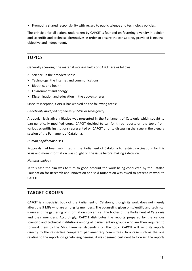**>** Promoting shared responsibility with regard to public science and technology policies.

The principle for all actions undertaken by CAPCIT is founded on fostering diversity in opinion and scientific and technical alternatives in order to ensure the consultancy provided is neutral, objective and independent.

#### **TOPICS**

Generally speaking, the material working fields of CAPCIT are as follows:

- **>** Science, in the broadest sense
- **>** Technology, the Internet and communications
- **>** Bioethics and health
- **>** Environment and energy
- **>** Dissemination and education in the above spheres

Since its inception, CAPCIT has worked on the following areas:

#### *Genetically modified organisms (GMOs or transgenic)*

A popular legislative initiative was presented in the Parliament of Catalonia which sought to ban genetically modified crops. CAPCIT decided to call for three reports on the topic from various scientific institutions represented on CAPCIT prior to discussing the issue in the plenary session of the Parliament of Catalonia.

#### *Human papillomaviruses*

Proposals had been submitted in the Parliament of Catalonia to restrict vaccinations for this virus and more information was sought on the issue before making a decision.

#### *Nanotechnology*

In this case the aim was to turn to good account the work being conducted by the Catalan Foundation for Research and Innovation and said foundation was asked to present its work to CAPCIT.

#### **TARGET GROUPS**

CAPCIT is a specialist body of the Parliament of Catalonia, though its work does not merely affect the 9 MPs who are among its members. The counseling given on scientific and technical issues and the gathering of information concerns all the bodies of the Parliament of Catalonia and their members. Accordingly, CAPCIT distributes the reports prepared by the various scientific and technical institutions among all parliamentary groups who are then required to forward them to the MPs. Likewise, depending on the topic, CAPCIT will send its reports directly to the respective competent parliamentary committees. In a case such as the one relating to the reports on genetic engineering, it was deemed pertinent to forward the reports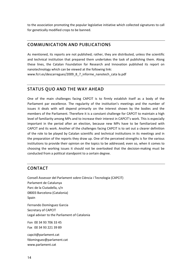to the association promoting the popular legislative initiative which collected signatures to call for genetically modified crops to be banned.

#### **COMMUNICATION AND PUBLICATIONS**

As mentioned, its reports are not published; rather, they are distributed, unless the scientific and technical institution that prepared them undertakes the task of publishing them. Along these lines, the Catalan Foundation for Research and Innovation published its report on nanotechnology which can be viewed at the following link:

www.fcri.es/descarregues/2009\_8\_7\_informe\_nanotech\_cata la.pdf

#### **STATUS QUO AND THE WAY AHEAD**

One of the main challenges facing CAPCIT is to firmly establish itself as a body of the Parliament par excellence. The regularity of the institution's meetings and the number of issues it deals with will depend primarily on the interest shown by the bodies and the members of the Parliament. Therefore it is a constant challenge for CAPCIT to maintain a high level of familiarity among MPs and to increase their interest in CAPCIT's work. This is especially important in the period after an election, because new MPs have to be familiarized with CAPCIT and its work. Another of the challenges facing CAPCIT is to set out a clearer definition of the role to be played by Catalan scientific and technical institutions in its meetings and in the preparation of the reports they draw up. One of the perceived strengths is for the various institutions to provide their opinion on the topics to be addressed; even so, when it comes to choosing the working issues it should not be overlooked that the decision‐making must be conducted from a political standpoint to a certain degree.

#### **CONTACT**

Consell Assessor del Parlament sobre Ciència i Tecnologia (CAPCIT) Parlament de Catalunya Parc de la Ciutadella, s/n 08003 Barcelona (Catalonia) Spain Fernando Domínguez Garcia Secretary of CAPCIT Legal adviser to the Parliament of Catalonia Fon 00 34 93 706 33 45 Fax 00 34 93 221 39 89 capcit@parlament.cat fdominguez@parlament.cat

www.parlament.cat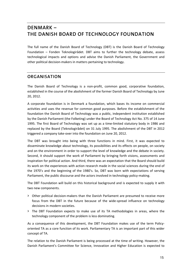# **DENMARK – THE DANISH BOARD OF TECHNOLOGY FOUNDATION**

The full name of the Danish Board of Technology (DBT) is the Danish Board of Technology Foundation – Fonden Teknologirådet. DBT aims to further the technology debate, assess technological impacts and options and advise the Danish Parliament, the Government and other political decision‐makers in matters pertaining to technology.

#### **ORGANISATION**

The Danish Board of Technology is a non‐profit, common good, corporative foundation, established in the course of the abolishment of the former Danish Board of Technology by June 20, 2012.

A corporate foundation is in Denmark a foundation, which bases its income on commercial activities and uses the revenue for common good purposes. Before the establishment of the foundation the Danish Board of Technology was a public, independent institution established by the Danish Parliament (the Folketing) under the Board of Technology Act No. 375 of 14 June 1995. The first Board of Technology was set up as a time‐limited statutory body in 1986 and replaced by the Board (Teknologirådet) on 31 July 1995. The abolishment of the DBT in 2012 triggered a company take‐over into the foundation on June 20, 2012.

The DBT was brought into being with three functions in mind. First, it was expected to disseminate knowledge about technology, its possibilities and its effects on people, on society and on the environment in order to support the level of knowledge and the debate in society. Second, it should support the work of Parliament by bringing forth visions, assessments and inspiration for political action. And third, there was an expectation that the Board should build its work on the experiences with action research made in the social sciences during the end of the 1970's and the beginning of the 1980's. So, DBT was born with expectations of serving Parliament, the public discourse and the actors involved in technology policy‐making.

The DBT Foundation will build on this historical background and is expected to supply it with two new components.

- **>** Other political decision‐makers than the Danish Parliament are presumed to receive more focus from the DBT in the future because of the wide‐spread influence on technology decisions in modern societies.
- **>** The DBT Foundation expects to make use of its TA methodologies in areas, where the technology component of the problem is less dominating.

As a consequence of this development, the DBT Foundation makes use of the term Policyoriented TA as a core function of its work. Parliamentary TA is an important part of this wider concept of TA.

The relation to the Danish Parliament is being processed at the time of writing. However, the Danish Parliament's Committee for Science, Innovation and Higher Education is expected to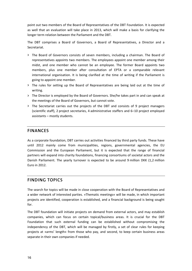point out two members of the Board of Representatives of the DBT Foundation. It is expected as well that an evaluation will take place in 2013, which will make a basis for clarifying the longer term relation between the Parliament and the DBT.

The DBT comprises a Board of Governors, a Board of Representatives, a Director and a Secretariat.

- **>** The Board of Governors consists of seven members, including a chairman. The Board of representatives appoints two members. The employees appoint one member among their midst, and one member who cannot be an employee. The former Board appoints two members, plus one member after consultation of EPTA or a comparable relevant international organisation. It is being clarified at the time of writing if the Parliament is going to appoint one member.
- **>** The rules for setting up the Board of Representatives are being laid out at the time of writing.
- **>** The Director is employed by the Board of Governors. She/he takes part in and can speak at the meetings of the Board of Governors, but cannot vote.
- **>** The Secretariat carries out the projects of the DBT and consists of 9 project managers (scientific staff), 2 project secretaries, 4 administrative staffers and 6–10 project employed assistants – mostly students.

#### **FINANCES**

As a corporate foundation, DBT carries out activities financed by third party funds. These have until 2012 mainly come from municipalities, regions, governmental agencies, the EU Commission and the European Parliament, but it is expected that the range of financial partners will expand into charity foundations, financing consortiums of societal actors and the Danish Parliament. The yearly turnover is expected to be around 9 million DKK (1,2 million Euro in 2012.

#### **FINDING TOPICS**

The search for topics will be made in close cooperation with the Board of Representatives and a wider network of interested parties. »Thematic meetings« will be made, in which important projects are identified, cooperation is established, and a financial background is being sought for.

The DBT foundation will initiate projects on demand from external actors, and may establish companies, which can focus on certain topical/business areas. It is crucial for the DBT Foundation that such external funding can be established without compromising the independency of the DBT, which will be managed by firstly, a set of clear rules for keeping projects at »arms' length« from those who pay, and second, to keep certain business areas separate in their own companies if needed.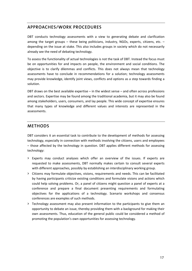#### **APPROACHES/WORK PROCEDURES**

DBT conducts technology assessments with a view to generating debate and clarification among the target groups – these being politicians, industry, NGOs, experts, citizens, etc. – depending on the issue at stake. This also includes groups in society which do not necessarily already see the need of debating technology.

To assess the functionality of actual technologies is not the task of DBT. Instead the focus must be on opportunities for and impacts on people, the environment and social conditions. The objective is to clarify dilemmas and conflicts. This does not always mean that technology assessments have to conclude in recommendations for a solution; technology assessments may provide knowledge, identify joint views, conflicts and options as a step towards finding a solution.

DBT draws on the best available expertise – in the widest sense – and often across professions and sectors. Expertise may be found among the traditional academia, but it may also be found among stakeholders, users, consumers, and lay people. This wide concept of expertise ensures that many types of knowledge and different values and interests are represented in the assessments.

#### **METHODS**

DBT considers it an essential task to contribute to the development of methods for assessing technology, especially in connection with methods involving the citizens, users and employees – those affected by the technology in question. DBT applies different methods for assessing technology:

- **>** Experts may conduct analyses which offer an overview of the issues. If experts are requested to make assessments, DBT normally makes certain to consult several experts with different approaches, possibly by establishing an interdisciplinary working group.
- **>** Citizens may formulate objectives, visions, requirements and needs. This can be facilitated by having participants criticize existing conditions and formulate visions and actions which could help solving problems. Or, a panel of citizens might question a panel of experts at a conference and prepare a final document presenting requirements and formulating objectives for the applications of a technology. Scenario workshops and consensus conferences are examples of such methods.
- **>** Technology assessment may also present information to the participants to give them an opportunity to debate an issue, thereby providing them with a background for making their own assessments. Thus, education of the general public could be considered a method of promoting the population's own opportunities for assessing technology.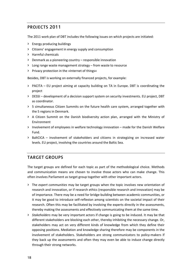### **PROJECTS 2011**

The 2011 work plan of DBT includes the following issues on which projects are initiated:

- **>** Energy producing buildings
- **>** Citizens' engagement in energy supply and consumption
- **>** Harmful chemicals
- **>** Denmark as a pioneering country responsible innovation
- **>** Long range waste management strategy from waste to resource
- **>** Privacy protection in the »Internet of things«

Besides, DBT is working on externally financed projects, for example:

- **>** PACITA EU project aiming at capacity building on TA in Europe. DBT is coordinating the project
- **>** DESSI development of a decision support system on security investments. EU project, DBT as coordinator.
- **>** 5 simultaneous Citizen Summits on the future health care system, arranged together with the 5 regions in Denmark.
- **>** A Citizen Summit on the Danish biodiversity action plan, arranged with the Ministry of Environment
- **>** Involvement of employees in welfare technology innovation made for the Danish Welfare Fund.
- **>** BaltCICA involvement of stakeholders and citizens in strategizing on increased water levels. EU project, involving the countries around the Baltic Sea.

#### **TARGET GROUPS**

The target groups are defined for each topic as part of the methodological choice. Methods and communication means are chosen to involve those actors who can make change. This often involves Parliament as target group together with other important actors.

- **>** The *expert communities* may be target groups when the topic involves new orientation of research and innovation, or if research ethics (responsible research and innovation) may be of importance. There may be a need for bridge‐building between academic communities, or it may be good to introduce self‐reflexion among scientists on the societal impact of their research. Often this may be facilitated by involving the experts directly in the assessments, thereby making the assessments and effectively communicating them at the same time.
- **>** *Stakeholders* may be very important actors if change is going to be induced. It may be that different stakeholders are blocking each other, thereby inhibiting the necessary change. Or, stakeholders may act on very different kinds of knowledge from which they define their opposing positions. Mediation and knowledge sharing therefore may be components in the involvement of stakeholders. Stakeholders are strong communicators to policy-makers if they back up the assessments and often they may even be able to induce change directly through their strong networks.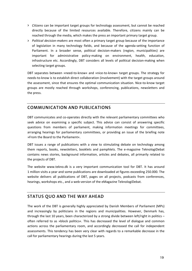- **>** *Citizens* can be important target groups for technology assessment, but cannot be reached directly because of the limited resources available. Therefore, citizens mainly can be reached through the media, which makes the press an important primary target group.
- **>** *Political decision‐makers* are most often a primary target group because of the importance of legislation in many technology fields, and because of the agenda‐setting function of Parliament. In a broader sense, political decision‐makers (region, municipalities) are important for administrative policy-making on environment, health, education, infrastructure etc. Accordingly, DBT considers all levels of political decision-making when selecting target groups.

DBT separates between »need‐to‐know« and »nice‐to‐know« target groups. The strategy for needs‐to‐know is to establish direct collaboration (involvement) with the target groups around the assessment, since that ensures the optimal communication situation. Nice-to-know target groups are mostly reached through workshops, conferencing, publications, newsletters and the press.

### **COMMUNICATION AND PUBLICATIONS**

DBT communicates and co-operates directly with the relevant parliamentary committees who seek advice on examining a specific subject. This advice can consist of answering specific questions from members of parliament, making information meetings for committees, arranging hearings for parliamentary committees, or providing an issue of the briefing note »From the Board to the Parliament«.

DBT issues a range of publications with a view to stimulating debate on technology among them reports, books, newsletters, booklets and pamphlets. The e‐magazine TeknologiDebat contains news stories, background information, articles and debates, all primarily related to the projects of DBT.

The website www.tekno.dk is a very important communication tool for DBT. It has around 1 million visits a year and some publications are downloaded at figures exceeding 250.000. The website delivers all publications of DBT, pages on all projects, podcasts from conferences, hearings, workshops etc., and a web‐version of the eMagazine TeknologiDebat.

### **STATUS QUO AND THE WAY AHEAD**

The work of the DBT is generally highly appreciated by Danish Members of Parliament (MPs) and increasingly by politicians in the regions and municipalities. However, Denmark has, through the last 10 years, been characterized by a strong divide between left/right in politics – often referred to as »block politics«. This has decreased the level of dialogue and common actions across the parliamentary room, and accordingly decreased the call for independent assessments. This tendency has been very clear with regards to a remarkable decrease in the call for parliamentary hearings during the last 5 years.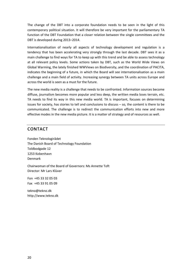The change of the DBT into a corporate foundation needs to be seen in the light of this contemporary political situation. It will therefore be very important for the parliamentary TA function of the DBT Foundation that a closer relation between the single committees and the DBT is developed during 2013–2014.

Internationalisation of nearly all aspects of technology development and regulation is a tendency that has been accelerating very strongly through the last decade. DBT sees it as a main challenge to find ways for TA to keep up with this trend and be able to assess technology at all relevant policy levels. Some actions taken by DBT, such as the World Wide Views on Global Warming, the lately finished WWViews on Biodiversity, and the coordination of PACITA, indicates the beginning of a future, in which the Board will see internationalisation as a main challenge and a main field of activity. Increasing synergy between TA units across Europe and across the world is seen as a must for the future.

The new media reality is a challenge that needs to be confronted. Information sources become diffuse, journalism becomes more popular and less deep, the written media loses terrain, etc. TA needs to find its way in this new media world. TA is important, focuses on determining issues for society, has stories to tell and conclusions to discuss – so, the content is there to be communicated. The challenge is to redirect the communication efforts into new and more effective modes in the new media picture. It is a matter of strategy and of resources as well.

#### **CONTACT**

Fonden Teknologirådet The Danish Board of Technology Foundation Toldbodgade 12 1253 Kobenhavn Denmark

Chairwoman of the Board of Governors: Ms Annette Toft Director: Mr Lars Klüver

Fon +45 33 32 05 03 Fax +45 33 91 05 09

tekno@tekno.dk http://www.tekno.dk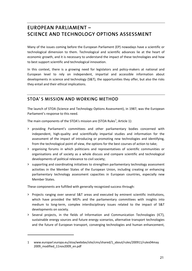# **EUROPEAN PARLIAMENT – SCIENCE AND TECHNOLOGY OPTIONS ASSESSMENT**

Many of the issues coming before the European Parliament (EP) nowadays have a scientific or technological dimension to them. Technological and scientific advances lie at the heart of economic growth, and it is necessary to understand the impact of these technologies and how to best support scientific and technological innovation.

In this context, there is a growing need for legislators and policy-makers at national and European level to rely on independent, impartial and accessible information about developments in science and technology (S&T), the opportunities they offer, but also the risks they entail and their ethical implications.

### **STOA' S MISSION AND WORKING METHOD**

The launch of STOA (Science and Technology Options Assessment), in 1987, was the European Parliament's response to this need.

The main components of the STOA's mission are (STOA Rules<sup>1</sup>, Article 1):

- **>** providing Parliament's committees and other parliamentary bodies concerned with independent, high‐quality and scientifically impartial studies and information for the assessment of the impact of introducing or promoting new technologies and identifying, from the technological point of view, the options for the best courses of action to take;
- **>** organising forums in which politicians and representatives of scientific communities or organisations and of society as a whole discuss and compare scientific and technological developments of political relevance to civil society;
- **>** supporting and coordinating initiatives to strengthen parliamentary technology assessment activities in the Member States of the European Union, including creating or enhancing parliamentary technology assessment capacities in European countries, especially new Member States.

These components are fulfilled with generally recognized success through:

- **>** Projects ranging over several S&T areas and executed by eminent scientific institutions, which have provided the MEPs and the parliamentary committees with insights into medium to long‐term, complex interdisciplinary issues related to the impact of S&T developments on society.
- **>** Several projects, in the fields of Information and Communication Technologies (ICT), sustainable energy sources and future energy scenarios, alternative transport technologies and the future of European transport, converging technologies and human enhancement,

<sup>1</sup> www.europarl.europa.eu/stoa/webdav/site/cms/shared/1\_about/rules/200911/rules04may 2009\_modified\_11nov2009\_en.pdf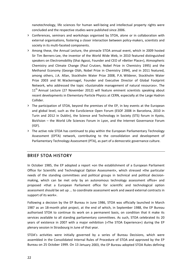nanotechnology, life sciences for human well‐being and intellectual property rights were concluded and the respective studies were published since 2006.

- **>** Conferences, seminars and workshops organised by STOA, alone or in collaboration with external organisations, fostering a closer interaction between policy-makers, scientists and society in its multi‐faceted components.
- **>** Among these, the Annual Lecture, the pinnacle STOA annual event, which in 2009 hosted Sir Tim Berners‐Lee, the inventor of the World Wide Web, in 2010 featured distinguished speakers on Electromobility (Shai Agassi, Founder and CEO of »Better Place«), Atmospheric Chemistry and Climate Change (Paul Crutzen, Nobel Prize in Chemistry 1995) and the Methanol Economy (George Oláh, Nobel Prize in Chemistry 1994), and in 2011 featured, among others, J.A. Allan, Stockholm Water Prize 2008, P.A. Wilderer, Stockholm Water Prize 2003 and M. Wackernagel, Founder and Executive Director of Global Footprint Network, who addressed the topic »Sustainable management of natural resources«. The  $11<sup>th</sup>$  Annual Lecture (27 November 2012) will feature eminent scientists speaking about recent developments in Elementary Particle Physics at CERN, especially at the Large Hadron Collider.
- **>** The participation of STOA, beyond the premises of the EP, in key events at the European and global level, such as the EuroScience Open Forum (ESOF 2008 in Barcelona, 2010 in Turin and 2012 in Dublin), the Science and Technology in Society (STS) forum in Kyoto, BioVision – the World Life Sciences Forum in Lyon, and the Internet Governance Forum (IGF).
- **>** The active role STOA has continued to play within the European Parliamentary Technology Assessment (EPTA) network, contributing to the consolidation and development of Parliamentary Technology Assessment (PTA), as part of a democratic governance culture.

#### **BRIEF STOA HISTORY**

In October 1985, the EP adopted a report »on the establishment of a European Parliament Office for Scientific and Technological Option Assessment«, which stressed »the particular needs of the standing committees and political groups in technical and political decision‐ making, which can be met only by an autonomous technology assessment office« and proposed »that a European Parliament office for scientific and technological option assessment should be set up ... to coordinate assessment work and award external contracts in support of its work«.

Following a decision by the EP Bureau in June 1986, STOA was officially launched in March 1987 as an 18‐month pilot project, at the end of which, in September 1988, the EP Bureau authorised STOA to continue its work on a permanent basis, on condition that it make its services available to all standing parliamentary committees. As such, STOA celebrated its 20 years of existence in 2007 with a major exhibition (»The STOA Experience«) during the EP plenary session in Strasbourg in June of that year.

STOA's activities were initially governed by a series of Bureau Decisions, which were assembled in the Consolidated Internal Rules of Procedure of STOA and approved by the EP Bureau on 25 October 1999. On 13 January 2003, the EP Bureau adopted STOA Rules defining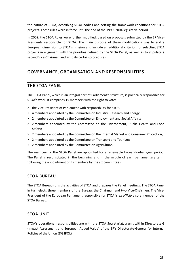the nature of STOA, describing STOA bodies and setting the framework conditions for STOA projects. These rules were in force until the end of the 1999–2004 legislative period.

In 2009, the STOA Rules were further modified, based on proposals submitted by the EP Vice-Presidents responsible for STOA. The main purpose of these modifications was to add a European dimension to STOA's mission and include an additional criterion for selecting STOA projects in alignment with the priorities defined by the STOA Panel, as well as to stipulate a second Vice-Chairman and simplify certain procedures.

### **GOVERNANCE, ORGANISATION AND RESPONSIBILITIES**

#### **THE STOA PANEL**

The STOA Panel, which is an integral part of Parliament's structure, is politically responsible for STOA's work. It comprises 15 members with the right to vote:

- **>** the Vice‐President of Parliament with responsibility for STOA;
- **>** 4 members appointed by the Committee on Industry, Research and Energy;
- **>** 2 members appointed by the Committee on Employment and Social Affairs;
- **>** 2 members appointed by the Committee on the Environment, Public Health and Food Safety;
- **>** 2 members appointed by the Committee on the Internal Market and Consumer Protection;
- **>** 2 members appointed by the Committee on Transport and Tourism;
- **>** 2 members appointed by the Committee on Agriculture.

The members of the STOA Panel are appointed for a renewable two-and-a-half-year period. The Panel is reconstituted in the beginning and in the middle of each parliamentary term, following the appointment of its members by the six committees.

#### **STOA BUREAU**

The STOA Bureau runs the activities of STOA and prepares the Panel meetings. The STOA Panel in turn elects three members of the Bureau, the Chairman and two Vice‐Chairmen. The Vice‐ President of the European Parliament responsible for STOA is *ex officio* also a member of the STOA Bureau.

#### **STOA UNIT**

STOA's operational responsibilities are with the STOA Secretariat, a unit within Directorate G (Impact Assessment and European Added Value) of the EP's Directorate‐General for Internal Policies of the Union (DG IPOL).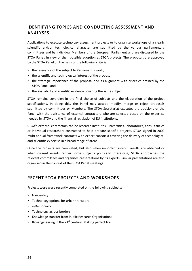### **IDENTIFYING TOPICS AND CONDUCTING ASSESSMENT AND ANALYSES**

Applications to execute technology assessment projects or to organise workshops of a clearly scientific and/or technological character are submitted by the various parliamentary committees and by individual Members of the European Parliament and are discussed by the STOA Panel, in view of their possible adoption as STOA projects. The proposals are approved by the STOA Panel on the basis of the following criteria:

- **>** the relevance of the subject to Parliament's work;
- **>** the scientific and technological interest of the proposal;
- **>** the strategic importance of the proposal and its alignment with priorities defined by the STOA Panel; and
- **>** the availability of scientific evidence covering the same subject.

STOA remains sovereign in the final choice of subjects and the elaboration of the project specifications. In doing this, the Panel may accept, modify, merge or reject proposals submitted by committees or Members. The STOA Secretariat executes the decisions of the Panel with the assistance of external contractors who are selected based on the expertise needed by STOA and the financial regulation of EU institutions.

STOA's external contractors can be research institutes, universities, laboratories, consultancies or individual researchers contracted to help prepare specific projects. STOA signed in 2009 multi‐annual framework contracts with expert consortia covering the delivery of technological and scientific expertise in a broad range of areas.

Once the projects are completed, but also when important interim results are obtained or when current events render some subjects politically interesting, STOA approaches the relevant committees and organises presentations by its experts. Similar presentations are also organised in the context of the STOA Panel meetings.

#### **RECENT STOA PROJECTS AND WORKSHOPS**

Projects were were recently completed on the following subjects:

- **>** Nanosafety
- **>** Technology options for urban transport
- **>** e‐Democracy
- **>** Technology across borders
- **>** Knowledge transfer from Public Research Organisations
- **>** Bio‐engineering in the 21st century: Making perfect life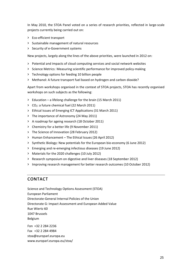In May 2010, the STOA Panel voted on a series of research priorities, reflected in large‐scale projects currently being carried out on:

- **>** Eco‐efficient transport
- **>** Sustainable management of natural resources
- **>** Security of e‐Government systems

New projects, largely along the lines of the above priorities, were launched in 2012 on:

- **>** Potential and impacts of cloud computing services and social network websites
- **>** Science Metrics: Measuring scientific performance for improved policy‐making
- **>** Technology options for feeding 10 billion people
- **>** Methanol: A future transport fuel based on hydrogen and carbon dioxide?

Apart from workshops organised in the context of STOA projects, STOA has recently organised workshops on such subjects as the following:

- **>** Education a lifelong challenge for the brain (15 March 2011)
- **>** CO2: a future chemical fuel (22 March 2011)
- **>** Ethical Issues of Emerging ICT Applications (31 March 2011)
- **>** The importance of Astronomy (24 May 2011)
- **>** A roadmap for ageing research (18 October 2011)
- **>** Chemistry for a better life (9 November 2011)
- **>** The Science of Innovation (28 February 2012)
- **>** Human Enhancement The Ethical Issues (26 April 2012)
- **>** Synthetic Biology: New potentials for the European bio‐economy (6 June 2012)
- **>** Emerging and re‐emerging infectious diseases (19 June 2012)
- **>** Materials for the 2020 challenges (10 July 2012)
- **>** Research symposium on digestive and liver diseases (18 September 2012)
- **>** Improving research management for better research outcomes (10 October 2012)

#### **CONTACT**

Science and Technology Options Assessment (STOA) European Parliament Directorate‐General Internal Policies of the Union Directorate G: Impact Assessment and European Added Value Rue Wiertz 60 1047 Brussels Belgium Fon +32 2 284 2236 Fax +32 2 284 4984 stoa@europarl.europa.eu www.europarl.europa.eu/stoa/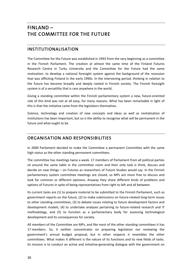# **FINLAND – THE COMMITTEE FOR THE FUTURE**

#### **INSTITUTIONALISATION**

The Committee for the Future was established in 1993 from the very beginning as a committee in the Finnish Parliament. The creation at almost the same time of the Finland Futures Research Centre in Turku University and the Committee for the Future had the same motivation: to develop a national foresight system against the background of the recession that was afflicting Finland in the early 1990s. In the intervening period, thinking in relation to the future has become broadly and deeply rooted in Finnish society. The Finnish foresight system is of a versatility that is rare anywhere in the world.

Giving a standing committee within the Finnish parliamentary system a new, future-oriented role of this kind was not at all easy, for many reasons. What has been remarkable in light of this is that the initiative came from the legislators themselves.

Science, technology and creation of new concepts and ideas as well as revitalisation of institutions has been important, but so is the ability to recognise what will be permanent in the future and what ought to be.

#### **ORGANISATION AND RESPONSIBILITIES**

In 2000 Parliament decided to make the Committee a permanent Committee with the same high status as the other standing permanent committees.

The committee has meetings twice a week. 17 members of Parliament from all political parties sit around the same table in the committee room and their only task is think, discuss and decide on new things – on Futures as researchers of Future Studies would say. In the Finnish parliamentary system committee meetings are closed, so MPs are more free to discuss and look for common or different opinions. Anyway they share different kinds of problems and options of Futures in spite of being representatives from right to left and all between.

Its current tasks are (1) to prepare material to be submitted to the Finnish Parliament, such as government reports on the future, (2) to make submissions on future-related long-term issues to other standing committees, (3) to debate issues relating to future development factors and development models, (4) to undertake analyses pertaining to future-related research and IT methodology, and (5) to function as a parliamentary body for assessing technological development and its consequences for society.

All members of the Committee are MPs, and like most of the other standing committees it has 17 members. So, it neither concentrates on preparing legislation nor reviewing the government's annual budget proposal, but in other respects it resembles the other committees. What makes it different is the nature of its functions and its new fields of tasks. Its mission is to conduct an active and initiative-generating dialogue with the government on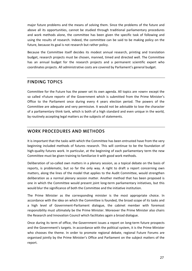major future problems and the means of solving them. Since the problems of the future and above all its opportunities, cannot be studied through traditional parliamentary procedures and work methods alone, the committee has been given the specific task of following and using the results of research. Indeed, the committee can be said to be making policy on the future, because its goal is not research but rather policy.

Because the Committee itself decides its modest annual research, printing and translation budget, research projects must be chosen, manned, timed and directed well. The Committee has an annual budget for the research projects and a permanent scientific expert who coordinates projects. All administrative costs are covered by Parliament's general budget.

#### **FINDING TOPICS**

Committee for the Future has the power set its own agenda. All topics are »own« except the so called »Future report« of the Government which is submitted from the Prime Minister's Office to the Parliament once during every 4 years election period. The powers of the Committee are adequate and very permissive. It would not be advisable to lose the character of a parliamentary think tank, which is both of a high standard and even unique in the world, by routinely accepting legal matters as the subjects of statements.

#### **WORK PROCEDURES AND METHODS**

It is important that the tasks with which the Committee has been entrusted have from the very beginning included methods of futures research. This will continue to be the foundation of high-quality futures work. In particular, at the beginning of each parliamentary term the new Committee must be given training to familiarize it with good work methods.

Deliberation of so-called own matters in a plenary session, as a topical debate on the basis of reports, is problematic, but so far the only way. A right to draft a report concerning own matters, along the lines of the model that applies to the Audit Committee, would strengthen deliberation as a normal plenary session matter. Another method that has been proposed is one in which the Committee would present joint long‐term parliamentary initiatives, but this would blur the significance of both the Committee and the initiative institution.

The Prime Minister as the corresponding minister is the most appropriate choice. In accordance with the idea on which the Committee is founded, the broad scope of its tasks and a high level of Government‐Parliament dialogue, the cabinet member with foremost responsibility must ultimately be the Prime Minister. Moreover the Prime Minister also chairs the Research and Innovation Council which facilitates again a broad dialogue.

Once during its term of office, the Government issues a report on long‐term future prospects and the Government's targets. In accordance with the political system, it is the Prime Minister who chooses the theme. In order to promote regional debate, regional Future Forums are organised jointly by the Prime Minister's Office and Parliament on the subject matters of the report.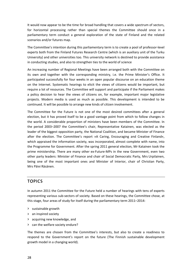It would now appear to be the time for broad handling that covers a wide spectrum of sectors, for horizontal processing rather than special themes the Committee should once in a parliamentary term conduct a general exploration of the state of Finland and the related scenarios and/or futures map.

The Committee's intention during this parliamentary term is to create a pool of professor‐level experts both from the Finland Futures Research Centre (which is an auxiliary unit of the Turku University) and other universities too. This university network is destined to provide assistance in conducting studies, and also to strengthen ties to the world of science

An increasing number of Regional Meetings have been arranged both with the Committee on its own and together with the corresponding ministry, i.e. the Prime Minister's Office. It participated successfully for four weeks in an open popular discourse on an education theme on the Internet. Systematic hearings to elicit the views of citizens would be important, but require a lot of resources. The Committee will support and participate if the Parliament makes a policy decision to hear the views of citizens on, for example, important major legislative projects. Modern media is used as much as possible. This development is intended to be continued. It will be possible to arrange new kinds of citizen involvement.

The Committee for the Future is not one of the most desired committees after a general election, but it has proved itself to be a good vantage point from which to follow changes in the world. A considerable proportion of ministers have been members of the Committee. In the period 2003–2007 the Committee's chair, Representative Katainen, was elected as the leader of the biggest opposition party, the National Coalition, and became Minister of Finance after the election. The Committee's report »A Caring, Encouraging and Creative Finland«, which appraised the information society, was incorporated, almost complete with name, into the Programme for Government. After the spring 2011 general election, Mr Katainen took the prime ministership. There are many other ex‐Future‐MPs in the new Government, even two other party leaders: Minister of Finance and chair of Social Democratic Party, Mrs Urpilainen, being one of the most important ones and Minister of Interior, chair of Christian Party, Mrs Päivi Räsänen.

### **TOPICS**

In autumn 2011 the Committee for the Future held a number of hearings with tens of experts representing various sub‐sectors of society. Based on these hearings, the Committee chose, at this stage, four areas of study for itself during the parliamentary term 2011–2014:

- **>** sustainable growth
- **>** an inspired society
- **>** acquiring new knowledge, and
- **>** can the welfare society endure?

The themes are chosen from the Committee's interests, but also to create a readiness to respond to the Government's report on the future (The Finnish sustainable development growth model in a changing world).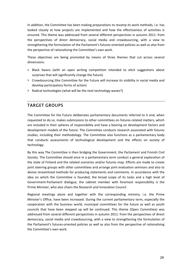In addition, the Committee has been making preparations to revamp its work methods, i.e. has looked closely at how projects are implemented and how the effectiveness of activities is ensured. This theme was addressed from several different perspectives in autumn 2011: from the perspectives of direct democracy, social media and crowdsourcing, with a view to strengthening the formulation of the Parliament's futures‐oriented policies as well as also from the perspective of rationalising the Committee's own work.

These objectives are being promoted by means of three themes that cut across several dimensions:

- **>** Black Swans (with an open writing competition intended to elicit suggestions about surprises that will significantly change the future)
- **>** Crowdsourcing (the Committee for the Future will increase its visibility in social media and develop participatory forms of action)
- **>** Radical technologies (what will be the next technology waves?)

#### **TARGET GROUPS**

The Committee for the Future deliberates parliamentary documents referred to it and, when requested to do so, makes submissions to other committees on futures-related matters, which are included in their spheres of responsibility and have a bearing on development factors and development models of the future. The Committee conducts research associated with futures studies, including their methodology. The Committee also functions as a parliamentary body that conducts assessments of technological development and the effects on society of technology.

By this way The Committee is then bridging the Government, the Parliament and Finnish Civil Society. The Committee should once in a parliamentary term conduct a general exploration of the state of Finland and the related scenarios and/or futures map. Efforts are made to create joint steering groups with other committees and arrange joint evaluation seminars and also to devise streamlined methods for producing statements and comments. In accordance with the idea on which the Committee is founded, the broad scope of its tasks and a high level of Government‐Parliament dialogue, the cabinet member with foremost responsibility is the Prime Minister, who also chairs the Research and Innovation Council.

Regional meetings alone and together with the corresponding ministry, i.e. the Prime Minister's Office, have been increased. During the current parliamentary term, especially the cooperation with the business world, municipal committees for the future as well as youth councils that have been stepped up will be continued. This theme (Open Committee) was addressed from several different perspectives in autumn 2011: from the perspectives of direct democracy, social media and crowdsourcing, with a view to strengthening the formulation of the Parliament's futures‐oriented policies as well as also from the perspective of rationalising the Committee's own work.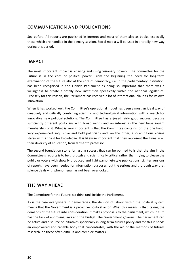### **COMMUNICATION AND PUBLICATIONS**

See before. All reports are published in Internet and most of them also as books, especially those which are handled in the plenary session. Social media will be used in a totally new way during this period.

#### **IMPACT**

The most important impact is »having and using visionary power«. The committee for the Future is in the corn of political power. From the beginning the need for long-term examination of the future also at the core of democracy, i.e. in the parliamentary institution, has been recognised in the Finnish Parliament as being so important that there was a willingness to create a totally new institution specifically within the national legislature. Precisely for this reason, the Parliament has received a lot of international plaudits for its own innovation.

When it has worked well, the Committee's operational model has been almost an ideal way of creatively and critically combining scientific and technological information with a search for innovative new political solutions. The Committee has enjoyed fairly good success, because sufficiently different politicians with broad minds and an interest in the new have sought membership of it. What is very important is that the Committee contains, on the one hand, very experienced, inquisitive and bold politicians and, on the other, also ambitious »rising stars« with a thirst for knowledge. It is likewise important that they represent the Finns in all their diversity of education, from farmer to professor.

The second foundation stone for lasting success that can be pointed to is that the aim in the Committee's reports is to be thorough and scientifically critical rather than trying to please the public or voters with showily produced and light pamphlet‐style publications. Lighter versions of reports have been needed for information purposes, but the serious and thorough way that science deals with phenomena has not been overlooked.

#### **THE WAY AHEAD**

The Committee for the Future is a think tank inside the Parliament.

As is the case everywhere in democracies, the division of labour within the political system means that the Government is a proactive political actor. What this means is that, taking the demands of the future into consideration, it makes proposals to the parliament, which in turn has the task of approving laws and the budget. The Government governs. The parliament can be active and a source of initiatives specifically in long-term futures policy and for this it needs an empowered and capable body that concentrates, with the aid of the methods of futures research, on these often difficult and complex matters.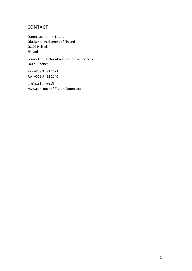### **CONTACT**

Committee for the Future Eduskunta, Parliament of Finland 00102 Helsinki Finland

Counsellor, Doctor of Administrative Sciences Paula Tiihonen

Fon +358 9 432 2091 Fax +358 9 432 2140

tuv@parliament.fi www.parliament.fi/FutureCommittee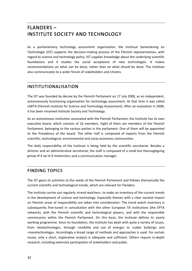# **FLANDERS – INSTITUTE SOCIETY AND TECHNOLOGY**

As a parliamentary technology assessment organisation, the Instituut Samenleving en Technologie (IST) supports the decision-making process of the Flemish representatives, with regard to science and technology policy. IST supplies knowledge about the underlying scientific foundations and it studies the social acceptance of new technologies. It makes recommendations on what *can* be done, rather than on what *should* be done. The Institute also communicates to a wider forum of stakeholders and citizens.

### **INSTITUTIONALISATION**

The IST was founded by decree by the Flemish Parliament on 17 July 2000, as an independent, autonomously functioning organisation for technology assessment. At that time it was called viWTA (Flemish Institute for Science and Technology Assessment). After an evaluation in 2008, it has been renamed Institute Society and Technology.

As an autonomous institution associated with the Flemish Parliament, the Institute has its own executive board, which consists of 16 members. Eight of them are members of the Flemish Parliament, belonging to the various parties in the parliament. One of them will be appointed to the Presidency of the board. The other half is composed of experts from the Flemish scientific, technological, environmental and socio‐economic communities.

The daily responsibility of the Institute is being held by the scientific secretariat. Besides a director and an administrative secretariat, the staff is composed of a small but thoroughgoing group of 4 up to 6 researchers and a communication manager.

#### **FINDING TOPICS**

The IST gears its activities to the needs of the Flemish Parliament and follows thematically the current scientific and technological trends, which are relevant for Flanders.

The Institute carries out regularly »trend watches«, to make an inventory of the current trends in the development of science and technology. Especially themes with a clear societal impact on Flemish areas of responsibility are taken into consideration. The trend watch inventory is subsequently fine-tuned in consultation with the other European TA institutions (the EPTA network), with the Flemish scientific and technological players, and with the responsible commissions within the Flemish Parliament. On this basis, the Institute defines its yearly working programme. Since its foundation, the Institute has dealt with quite a variety of issues, from »biotechnology«, through »mobility and use of energy« to »cyber bullying« and »nanotechnology«. Accordingly a broad range of methods and approaches is used. For certain issues, only a short, explorative analysis is adequate and sufficient. Others require in‐depth research, including extensive participation of stakeholders and public.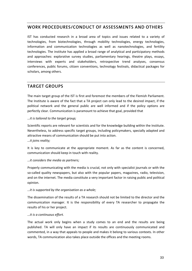#### **WORK PROCEDURES/CONDUCT OF ASSESSMENTS AND OTHERS**

IST has conducted research in a broad area of topics and issues related to a variety of technologies, from biotechnologies, through mobility technologies, energy technologies, information and communication technologies as well as nanotechnologies, and fertility technologies. The institute has applied a broad range of analytical and participatory methods and approaches: explorative survey studies, parliamentary hearings, theatre plays, essays, interviews with experts and stakeholders, retrospective trend analyses, consensus conferences, public forums, citizen conventions, technology festivals, didactical packages for scholars, among others.

#### **TARGET GROUPS**

The main target group of the IST is first and foremost the members of the Flemish Parliament. The Institute is aware of the fact that a TA project can only lead to the desired impact, if the political network and the general public are well informed and if the policy options are perfectly clear. Communication is paramount to achieve that goal, provided that

#### *…it is tailored to the target group;*

Scientific reports are relevant for scientists and for the knowledge building within the Institute. Nevertheless, to address specific target groups, including policymakers, specially adapted and attractive means of communication should be put into action. *…it joins reality;*

It is key to communicate at the appropriate moment. As far as the content is concerned, communication should keep in touch with reality.

#### *…it considers the media as partners;*

Properly communicating with the media is crucial, not only with specialist journals or with the so-called quality newspapers, but also with the popular papers, magazines, radio, television, and on the internet. The media constitute a very important factor in raising public and political opinion.

#### *…it is supported by the organisation as a whole;*

The dissemination of the results of a TA research should not be limited to the director and the communication manager. It is the responsibility of every TA researcher to propagate the results of his or her project.

#### *…it is a continuous effort.*

The actual work only begins when a study comes to an end and the results are being published. TA will only have an impact if its results are continuously communicated and commented, in a way that appeals to people and makes it belong to various contexts. In other words, TA communication also takes place outside the offices and the meeting rooms.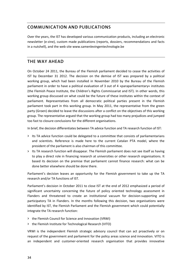### **COMMUNICATION AND PUBLICATIONS**

Over the years, the IST has developed various communication products, including an electronic newsletter (e‐zine), custom made publications (reports, dossiers, recommendations and facts in a nutshell), and the web site www.samenlevingentechnologie.be

#### **THE WAY AHEAD**

On October 24 2011, the Bureau of the Flemish parliament decided to cease the activities of IST by December 31 2012. The decision on the demise of IST was prepared by a political working group, which had been installed in November 2010 by the Bureau of the Flemish parliament in order to have a political evaluation of 3 out of 4 »paraparliamentary« institutes (the Flemish Peace Institute, the Children's Rights Commissariat and IST). In other words, this working group discussed on what could be the future of these institutes within the context of parliament. Representatives from all democratic political parties present in the Flemish parliament took part in this working group. In May 2011, the representative from the green party (Groen) decided to leave the discussions after a conflict on the objectives of this working group. The representative argued that the working group had too many prejudices and jumped too fast to closure conclusions for the different organisations.

In brief, the decision differentiates between TA advice function and TA research function of IST:

- **>** Its TA advice function could be delegated to a committee that consists of parliamentarians and scientists. Reference is made here to the current Catalan PTA model, where the president of the parliament is also chairman of this committee.
- **>** Its TA research function will disappear. The Flemish parliament does not see itself as having to play a direct role in financing research at universities or other research organisations. It based its decision on the premise that parliament cannot finance research: what can be done better elsewhere should be done there.

Parliament's decision leaves an opportunity for the Flemish government to take up the TA research and/or TA functions of IST.

Parliament's decision in October 2011 to close IST at the end of 2012 emphasized a period of significant uncertainty concerning the future of policy oriented technology assessment in Flanders and threatened to create an institutional vacuum for decision‐supporting and participatory TA in Flanders. In the months following this decision, two organisations were identified by IST, the Flemish Parliament and the Flemish government which could potentially integrate the TA research function:

- **>** the Flemish Council for Science and Innovation (VRWI)
- **>** the Flemish Institute for Technological Research (VITO)

VRWI is the independent Flemish strategic advisory council that can act proactively or on request of the government and parliament for the policy areas science and innovation. VITO is an independent and customer‐oriented research organisation that provides innovative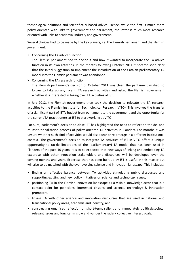technological solutions and scientifically based advice. Hence, while the first is much more policy oriented with links to government and parliament, the latter is much more research oriented with links to academia, industry and government.

Several choices had to be made by the key players, i.e. the Flemish parliament and the Flemish government:

**>** Concerning the TA advice function:

The Flemish parliament had to decide if and how it wanted to incorporate the TA advice function in its own activities. In the months following October 2011 it became soon clear that the initial suggestion to implement the introduction of the Catalan parliamentary TA model into the Flemish parliament was abandoned.

**>** Concerning the TA research function:

The Flemish parliament's decision of October 2011 was clear: the parliament wished no longer to take up any role in TA research activities and asked the Flemish government whether it is interested in taking over TA activities of IST.

In July 2012, the Flemish government then took the decision to relocate the TA research activities to the Flemish Institute for Technological Research (VITO). This involves the transfer of a significant part of IST's budget from parliament to the government and the opportunity for the current TA practitioners at IST to start working at VITO.

For sure, parliament's decision to close IST has highlighted the need to reflect on the de‐ and re‐institutionalisation process of policy oriented TA activities in Flanders. For months it was unsure whether such kind of activities would disappear or re‐emerge in a different institutional context. The government's decision to integrate TA activities of IST in VITO offers a unique opportunity to tackle limitations of the (parliamentary) TA model that has been used in Flanders of the past 10 years. It is to be expected that new ways of linking and embedding TA expertise with other innovation stakeholders and discourses will be developed over the coming months and years. Expertise that has been built up by IST is useful in this matter but will also to be matched with the ever evolving science and innovation landscape. This includes:

- **>** finding an effective balance between TA activities stimulating public discourses and supporting existing and new policy initiatives on science and technology issues,
- **>** positioning TA in the Flemish innovation landscape as a visible knowledge actor that is a contact point for politicians, interested citizens and science, technology & innovation promoters,
- **>** linking TA with other science and innovation discourses that are used in national and transnational policy areas, academia and industry, and
- **>** constructing organised reflection on short‐term, salient and immediately political/societal relevant issues and long‐term, slow and »under the radar« collective interest goals.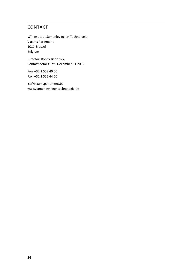# **CONTACT**

IST, Instituut Samenleving en Technologie Vlaams Parlement 1011 Brussel Belgium

Director: Robby Berloznik Contact details until December 31 2012

Fon +32 2 552 40 50 Fax +32 2 552 44 50

ist@vlaamsparlement.be www.samenlevingentechnologie.be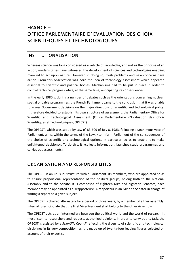# **FRANCE – OFFICE PARLEMENTAIRE D' EVALUATION DES CHOIX SCIENTIFIQUES ET TECHNOLOGIQUES**

## **INSTITUTIONALISATION**

Whereas science was long considered as a vehicle of knowledge, and not as the principle of an action, modern times have witnessed the development of sciences and technologies enabling mankind to act upon nature. However, in doing so, fresh problems and new concerns have arisen. From this observation was born the idea of technology assessment which appeared essential to scientific and political bodies. Mechanisms had to be put in place in order to control technical progress while, at the same time, anticipating its consequences.

In the early 1980's, during a number of debates such as the orientations concerning nuclear, spatial or cable programmes, the French Parliament came to the conclusion that it was unable to assess Government decisions on the major directions of scientific and technological policy. It therefore decided to establish its own structure of assessment: the Parliamentary Office for Scientific and Technological Assessment (Office Parlementaire d'Evaluation des Choix Scientifiques et Technologiques, OPECST).

The OPECST, which was set up by Law n° 83-609 of July 8, 1983, following a unanimous vote of Parliament, aims, within the terms of the Law, »to inform Parliament of the consequences of the choice of scientific and technological options, in particular, so as to enable it to make enlightened decisions«. To do this, it »collects information, launches study programmes and carries out assessments«.

# **ORGANISATION AND RESPONSIBILITIES**

The OPECST is an unusual structure within Parliament: its members, who are appointed so as to ensure proportional representation of the political groups, belong both to the National Assembly and to the Senate. It is composed of eighteen MPs and eighteen Senators; each member may be appointed as a »rapporteur«. A rapporteur is an MP or a Senator in charge of writing a report on a given subject.

The OPECST is chaired alternately for a period of three years, by a member of either assembly. Internal rules stipulate that the First Vice‐President shall belong to the other Assembly.

The OPECST acts as an intermediary between the political world and the world of research. It must listen to researchers and requests authorized opinions. In order to carry out its task, the OPECST is assisted by a *Scientific Council* reflecting the diversity of scientific and technological disciplines in its very composition, as it is made up of twenty‐four leading figures selected on account of their expertise.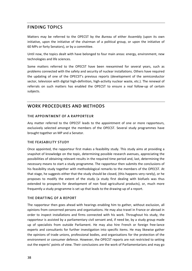# **FINDING TOPICS**

Matters may be referred to the OPECST by the *Bureau* of either Assembly (upon its own initiative, upon the initiative of the chairman of a political group, or upon the initiative of 60 MPs or forty Senators), or by a committee.

Until now, the topics dealt with have belonged to four main areas: energy, environment, new technologies and life sciences.

Some matters referred to the OPECST have been reexamined for several years, such as problems connected with the safety and security of nuclear installations. Others have required the updating of one of the OPECST's previous reports (development of the semiconductor sector, television with digital high-definition, high-activity nuclear waste, etc.). The renewal of referrals on such matters has enabled the OPECST to ensure a real follow‐up of certain subjects.

### **WORK PROCEDURES AND METHODS**

#### **THE APPOINTMENT OF A RAPPORTEUR**

Any matter referred to the OPECST leads to the appointment of one or more rapporteurs, exclusively selected amongst the members of the OPECST. Several study programmes have brought together an MP and a Senator.

#### **THE FEASABILITY STUDY**

Once appointed, the rapporteur first makes a feasibility study. This study aims at providing a snapshot of knowledge on the topic, determining possible research avenues, appreciating the possibilities of obtaining relevant results in the required time period and, last, determining the necessary means to start a study programme. The rapporteur then submits the conclusions of his feasibility study together with methodological remarks to the members of the OPECST. At that stage, he suggests either that the study should be closed, (this happens very rarely), or he proposes to modify the extent of the study (a study first dealing with biofuels was thus extended to prospects for development of non food agricultural products), or, much more frequently a study programme is set up that leads to the drawing‐up of a report.

#### **THE DRAFTING OF A REPORT**

The rapporteur then goes ahead with hearings enabling him to gather, without exclusion, all opinions from concerned persons and organisations. He may also travel in France or abroad in order to inspect installations and firms connected with his work. Throughout his study, the rapporteur is assisted by a parliamentary civil servant and, if need be, by a study group made up of specialists from outside Parliament. He may also hire French or foreign free‐lance experts and consultants for further investigation into specific items. He may likewise gather the opinions of trade unions, professional bodies, and organisations for the protection of the environment or consumer defence. However, the OPECST reports are not restricted to setting out the experts' points of view. Their conclusions are the work of Parliamentarians and may go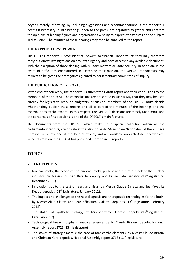beyond merely informing, by including suggestions and recommendations. If the rapporteur deems it necessary, public hearings, open to the press, are organised to gather and confront the opinions of leading figures and organisations wishing to express themselves on the subject in discussion. The minutes of these hearings may then be annexed to the report.

#### **THE RAPPORTEURS' POWERS**

The OPECST rapporteur have identical powers to financial rapporteurs: they may therefore carry out direct investigations on any State Agency and have access to any available document, with the exception of those dealing with military matters or State security. In addition, in the event of difficulties encountered in exercising their mission, the OPECST rapporteurs may request to be given the prerogatives granted to parliamentary committees of inquiry.

#### **THE PUBLICATION OF REPORTS**

At the end of their work, the rapporteurs submit their draft report and their conclusions to the members of the OPECST. These conclusions are presented in such a way that they may be used directly for legislative work or budgetary discussion. Members of the OPECST must decide whether they publish these reports and all or part of the minutes of the hearings and the contributions by the experts. In this respect, the OPECST's decisions are mostly unanimous and the consensus of its decisions is one of the OPECST's main features.

The documents from the OPECST, which make up a special collection within all the parliamentary reports, are on sale at the »Boutique de l'Assemblée Nationale«, at the »Espace Librairie du Sénat« and at the Journal officiel, and are available on each Assembly website. Since its creation, the OPECST has published more than 90 reports.

# **TOPICS**

#### **RECENT REPORTS**

- **>** Nuclear safety, the scope of the nuclear safety, present and future outlook of the nuclear industry, by Messrs Christian Bataille, deputy and Bruno Sido, senator (13<sup>th</sup> legislature, December 2011).
- **>** Innovation put to the test of fears and risks, by Messrs Claude Birraux and Jean‐Yves Le Déaut, deputies  $(13<sup>th</sup>$  legislature, January 2012).
- **>** The impact and challenges of the new diagnosis and therapeutic technologies for the brain, by Messrs Alain Claeys and Jean-Sébastien Vialatte, deputies (13<sup>th</sup> legislature, February 2012).
- > The stakes of synthetic biology, by Mrs Geneviève Fioraso, deputy (13<sup>th</sup> legislature, February 2012).
- **>** Technological breakthroughs in medical science, by Mr Claude Birraux, deputy, National Assembly report 3723  $(13<sup>th</sup>$  legislature)
- **>** The stakes of strategic metals: the case of rare earths elements, by Messrs Claude Birraux and Christian Kert, deputies. National Assembly report 3716  $(13<sup>th</sup>$  legislature)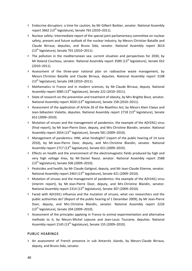- **>** Endocrine disruptors: a time for caution, by Mr Gilbert Barbier, senator. National Assembly report 3662 (13<sup>th</sup> legislature), Senate 765 (2010–2011).
- **>** Nuclear safety: Intermediate report of the special joint parliamentary committee on nuclear safety, present and future outlook of the nuclear industry, by Messrs Christian Bataille and Claude Birraux, deputies, and Bruno Sido, senator. National Assembly report 3614 (13th legislature), Senate 701 (2010–2011).
- **>** The pollution in the mediterranean sea: current situation and perspectives for 2030, by Mr Roland Courteau, senator. National Assembly report 3589 (13<sup>th</sup> legislature), Senate 652 (2010–2011).
- **>** Assessment of the three‐year national plan on radioactive waste management, by Messrs Christian Bataille and Claude Birraux, deputies. National Assembly report 3108 (13<sup>th</sup> legislature), Senate 248 (2010–2011).
- **>** Mathematics in France and in modern sciences, by Mr Claude Birraux, deputy. National Assembly report 3085 (13<sup>th</sup> legislature), Senate 222 (2010–2011).
- **>** State of research on the prevention and treatment of obesity, by Mrs Brigitte Bout, senator. National Assembly report 3020 (13<sup>th</sup> legislature), Senate 158 (2010–2011).
- **>** Assessment of the application of Article 26 of the Bioethics Act, by Messrs Alain Claeys and Jean-Sébastien Vialatte, deputies. National Assembly report 2718 (13<sup>th</sup> legislature), Senate 652 (2009–2010).
- **>** Mutation of viruses and the management of pandemics: the example of the A(H1N1) virus (final report), by Mr Jean‐Pierre Door, deputy, and Mrs Christine Blandin, senator. National Assembly report 2654  $(13<sup>th</sup>$  legislature), Senate 581 (2009–2010).
- **>** Management of pandemics: HINI, what hindsight? (report of the public hearing of 14 June 2010), by Mr Jean‐Pierre Door, deputy, and Mrs Christine Blandin, senator. National Assembly report 2717 (13<sup>th</sup> legislature), Senate 651 (2009–2010).
- **>** Effects on health and the environment of the electromagnetic fields produced by high and very high voltage lines, by Mr Daniel Raoul, senator. National Assembly report 2588 (13th legislature), Senate 506 (2009–2010).
- **>** Pesticides and health, by Mr Claude Gatignol, deputy, and Mr Jean‐Claude Etienne, senator. National Assembly report 2463 (13<sup>th</sup> legislature), Senate 421 (2009-2010).
- **>** Mutation of viruses and the management of pandemics: the example of the A(H1N1) virus (interim report), by Mr Jean‐Pierre Door, deputy, and Mrs Christine Blandin, senator. National Assembly report 2314 (13<sup>th</sup> legislature), Senate 307 (2009–2010).
- **>** Faced with A(H1N1) influenza and the mutation of viruses, what can researchers and the public authorities do? (Report of the public hearing of 1 December 2009), by Mr Jean‐Pierre Door, deputy, and Mrs Christine Blandin, senator. National Assembly report 2226  $(13<sup>th</sup>$  legislature), Senate 204 (2009–2010).
- **>** Assessment of the principles applying in France to animal experimentation and alternative methods to it, by Messrs Michel Lejeune and Jean‐Louis Touraine, deputies. National Assembly report 2145 (13<sup>th</sup> legislature), Senate 155 (2009–2010).

#### **PUBLIC HEARINGS**

**>** An assessment of French presence in sub Antarctic islands, by Messrs Claude Birraux, deputy, and Bruno Sido, senator.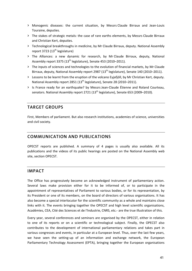- **>** Monogenic diseases: the current situation, by Messrs Claude Birraux and Jean‐Louis Touraine, deputies.
- **>** The stakes of strategic metals: the case of rare earths elements, by Messrs Claude Birraux and Christian Kert, deputies.
- **>** Technological breakthroughs in medicine, by Mr Claude Birraux, deputy. National Assembly report 3723  $(13<sup>th</sup>$  legislature)
- **>** The Alliances: a new dynamic for research, by Mr Claude Birraux, deputy, National Assembly report 3375  $(13<sup>th</sup>$  legislature), Senate 453 (2010–2011).
- **>** The inputs of sciences and technologies to the evolution of financial markets, by Mr Claude Birraux, deputy, National Assembly report 2987 (13<sup>th</sup> legislature), Senate 140 (2010–2011).
- **>** Lessons to be learnt from the eruption of the volcano Eyjafjöll, by Mr Christian Kert, deputy. National Assembly report 2851 (13<sup>th</sup> legislature), Senate 28 (2010–2011).
- **>** Is France ready for an earthquake? by Messrs Jean‐Claude Étienne and Roland Courteau, senators. National Assembly report 2721 (13<sup>th</sup> legislature), Senate 653 (2009–2010).

# **TARGET GROUPS**

First, Members of parliament. But also research institutions, academies of science, universities and civil society.

## **COMMUNICATION AND PUBLICATIONS**

OPECST reports are published. A summary of 4 pages is usually also available. All its publications and the videos of its public hearings are posted on the National Assembly web site, section OPECST.

### **IMPACT**

The Office has progressively become an acknowledged instrument of parliamentary action. Several laws make provision either for it to be informed of, or to participate in the appointment of representatives of Parliament to various bodies, or for its representation, by its President or one of its members, on the board of directors of various organisations. It has also become a special interlocutor for the scientific community as a whole and maintains close links with it. The events bringing together the OPECST and high level scientific organisations, Académies, CEA, Cité des Sciences et de lʹIndustrie, CNRS, etc.‐ are the true illustration of this.

Every year, several conferences and seminars are organised by the OPECST, either in relation to one of its reports or on a scientific or technological subject. Finally, the OPECST also contributes to the development of international parliamentary relations and takes part in various congresses and events, in particular at a European level. Thus, over the last few years, we have seen the setting‐up of an information and exchange network, the European Parliamentary Technology Assessment (EPTA), bringing together the European organisations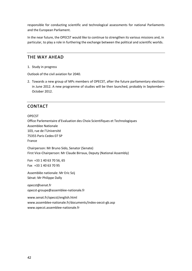responsible for conducting scientific and technological assessments for national Parliaments and the European Parliament.

In the near future, the OPECST would like to continue to strengthen its various missions and, in particular, to play a role in furthering the exchange between the political and scientific worlds.

### **THE WAY AHEAD**

1. Study in progress

Outlook of the civil aviation for 2040.

2. Towards a new group of MPs members of OPECST, after the future parliamentary elections in June 2012. A new programme of studies will be then launched, probably in September– October 2012.

### **CONTACT**

#### OPECST

Office Parlementaire d'Evaluation des Choix Scientifiques et Technologiques Assemblee Nationale 103, rue de l'Université 75355 Paris Cedex 07 SP France

Chairperson: Mr Bruno Sido, Senator (Senate) First Vice-Chairperson: Mr Claude Birraux, Deputy (National Assembly)

Fon +33 1 40 63 70 56, 65 Fax +33 1 40 63 70 95

Assemblée nationale: Mr Eric Szij Sénat: Mr Philippe Dally

opecst@senat.fr opecst‐groupe@assemblee‐nationale.fr

www.senat.fr/opecst/english.html www.assemblee‐nationale.fr/documents/index‐oecst‐gb.asp www.opecst.assemblee‐nationale.fr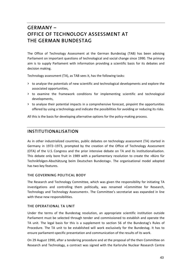# **GERMANY – OFFICE OF TECHNOLOGY ASSESSMENT AT THE GERMAN BUNDESTAG**

The Office of Technology Assessment at the German Bundestag (TAB) has been advising Parliament on important questions of technological and social change since 1990. The primary aim is to supply Parliament with information providing a scientific basis for its debates and decision making.

Technology assessment (TA), as TAB sees it, has the following tasks:

- **>** to analyse the potentials of new scientific and technological developments and explore the associated opportunities,
- **>** to examine the framework conditions for implementing scientific and technological developments,
- **>** to analyse their potential impacts in a comprehensive forecast, pinpoint the opportunities offered by using a technology and indicate the possibilities for avoiding or reducing its risks.

All this is the basis for developing alternative options for the policy-making process.

### **INSTITUTIONALISATION**

As in other industrialized countries, public debates on technology assessment (TA) started in Germany in 1972–1973, prompted by the creation of the Office of Technology Assessment (OTA) of the U.S. Congress and the prior intensive debate on TA and its institutionalisation. This debate only bore fruit in 1989 with a parliamentary resolution to create the »Büro für Technikfolgen‐Abschätzung beim Deutschen Bundestag«. The organisational model adopted has two key features.

#### **THE GOVERNING POLITICAL BODY**

The Research and Technology Committee, which was given the responsibility for initiating TA investigations and controlling them politically, was renamed »Committee for Research, Technology and Technology Assessment«. The Committee's secretariat was expanded in line with these new responsibilities.

#### **THE OPERATIONAL TA UNIT**

Under the terms of the Bundestag resolution, an appropriate scientific institution outside Parliament must be selected through tender and commissioned to establish and operate the TA unit. The legal basis for this is a supplement to section 56 of the Bundestag's Rules of Procedure. The TA unit to be established will work exclusively for the Bundestag. It has to ensure parliament‐specific presentation and communication of the results of its work.

On 29 August 1990, after a tendering procedure and at the proposal of the then Committee on Research and Technology, a contract was signed with the Karlsruhe Nuclear Research Centre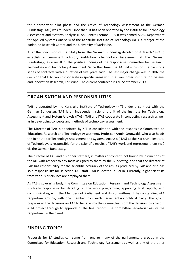for a three‐year pilot phase and the Office of Technology Assessment at the German Bundestag (TAB) was founded. Since then, it has been operated by the Institute for Technology Assessment and Systems Analysis (ITAS) Centre (before 1995 it was named AFAS, Department for Applied Systems Analysis) of the Karlsruhe Institute of Technology (KIT), a merger of the Karlsruhe Research Centre and the University of Karlsruhe.

After the conclusion of the pilot phase, the German Bundestag decided on 4 March 1993 to establish a permanent advisory institution »Technology Assessment at the German Bundestag«, as a result of the positive findings of the responsible Committee for Research, Technology and Technology Assessment. Since that time, the TA unit is run on the basis of a series of contracts with a duration of five years each. The last major change was in 2002 the decision that ITAS would cooperate in specific areas with the Fraunhofer Institute for Systems and Innovation Research, Karlsruhe. The current contract runs till September 2013.

# **ORGANISATION AND RESPONSIBILITIES**

TAB is operated by the Karlsruhe Institute of Technology (KIT) under a contract with the German Bundestag. TAB is an independent scientific unit of the Institute for Technology Assessment and System Analysis (ITAS). TAB and ITAS cooperate in conducting research as well as in developing concepts and methods of technology assessment.

The Director of TAB is appointed by KIT in consultation with the responsible Committee on Education, Research and Technology Assessment. Professor Armin Grunwald, who also heads the Institute for Technology Assessment and Systems Analysis (ITAS) at the Karlsruhe Institute of Technology, is responsible for the scientific results of TAB's work and represents them vis à vis the German Bundestag.

The director of TAB and his or her staff are, in matters of content, not bound by instructions of the KIT with respect to any tasks assigned to them by the Bundestag, and that the director of TAB has responsibility for the scientific accuracy of the results produced by TAB and also has sole responsibility for selection TAB staff. TAB is located in Berlin. Currently, eight scientists from various disciplines are employed there.

As TAB's governing body, the Committee on Education, Research and Technology Assessment is chiefly responsible for deciding on the work programme, approving final reports, and communicating with the Members of Parliament and its committees. It has a standing »TA rapporteur group«, with one member from each parliamentary political party. This group prepares all the decisions on TAB to be taken by the Committee, from the decision to carry out a TA project through to approval of the final report. The Committee secretariat assists the rapporteurs in their work.

### **FINDING TOPICS**

Proposals for TA‐studies can come from one or many of the parliamentary groups in the Committee for Education, Research and Technology Assessment as well as any of the other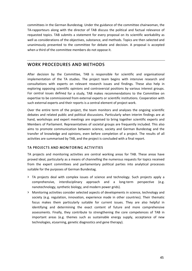committees in the German Bundestag. Under the guidance of the committee chairwoman, the TA-rapporteurs along with the director of TAB discuss the political and factual relevance of requested topics. TAB submits a statement for every proposal on its scientific workability as well as considerations of the objectives, substance, and methods. Topics are then selected and unanimously presented to the committee for debate and decision. A proposal is accepted when a third of the committee members do not oppose it.

## **WORK PROCEDURES AND METHODS**

After decision by the Committee, TAB is responsible for scientific and organisational implementation of the TA studies. The project team begins with intensive research and consultations with experts on relevant research issues and findings. These also help in exploring opposing scientific opinions and controversial positions by various interest groups. For central issues defined for a study, TAB makes recommendations to the Committee on expertise to be commissioned from external experts or scientific institutions. Cooperation with such external experts and their reports is a central element of project work.

Over the entire term of the project, the team monitors and analyses the ongoing scientific debates and related public and political discussions. Particularly when interim findings are at hand, workshops and expert meetings are organised to bring together scientific experts and Members of Parliament. Representatives of societal groups are frequently included. This also aims to promote communication between science, society and German Bundestag and the transfer of knowledge and opinions, even before completion of a project. The results of all activities are summarised by TAB, and the project is concluded with a final report.

#### **TA PROJECTS AND MONITORING ACTIVITIES**

TA projects and monitoring activities are central working areas for TAB. These areas have proved ideal, particularly as a means of channelling the numerous requests for topics received from the expert committees and parliamentary political parties into analytical processes suitable for the purposes of German Bundestag.

- **>** TA projects deal with complex issues of science and technology. Such projects apply a comprehensive, interdisciplinary approach and a long-term perspective (e.g. nanotechnology, synthetic biology, and modern power grids).
- **>** Monitoring activities consider selected aspects of developments in science, technology and society (e.g. regulation, innovation, experience made in other countries). Their thematic focus makes them particularly suitable for current issues. They are also helpful in identifying and determining the exact content of future and more comprehensive assessments. Finally, they contribute to strengthening the core competences of TAB in important areas (e.g. themes such as sustainable energy supply, acceptance of new technologies, eLearning, genetic diagnostics and gene therapy).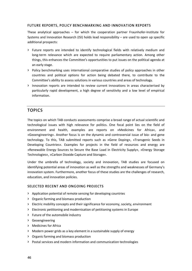#### **FUTURE REPORTS, POLICY BENCHMARKING AND INNOVATION REPORTS**

These analytical approaches – for which the cooperation partner Fraunhofer-Institute for Systems and Innovation Research (ISI) holds lead responsibility – are used to open up specific additional prospects:

- **>** Future reports are intended to identify technological fields with relatively medium and long‐term relevance which are expected to require parliamentary action. Among other things, this enhances the Committee's opportunities to put issues on the political agenda at an early stage.
- **>** Policy benchmarking uses international comparative studies of policy approaches in other countries and political options for action being debated there, to contribute to the Committee's ability to assess solutions in various countries and areas of technology.
- **>** Innovation reports are intended to review current innovations in areas characterised by particularly rapid development, a high degree of sensitivity and a low level of empirical information.

### **TOPICS**

The topics on which TAB conducts assessments comprise a broad range of actual scientific and technological issues with high relevance for politics. One focal point lies on the field of environment and health, examples are reports on »Medicines for Africa«, and »Geoengineering«. Another focus is on the dynamic and controversial issue of bio‐ and gene technology. To this, TAB submitted reports such as »Gene Doping«, »Transgenic Seeds in Developing Countries«. Examples for projects in the field of resources and energy are »Renewable Energy Sources to Secure the Base Load in Electricity Supply«, »Energy Storage Technologies«, »Carbon Dioxide Capture and Storage«.

Under the umbrella of technology, society and innovation, TAB studies are focused on identifying potential areas of innovation as well as the strengths and weaknesses of Germany's innovation system. Furthermore, another focus of these studies are the challenges of research, education, and innovation policies.

#### **SELECTED RECENT AND ONGOING PROJECTS**

- **>** Application potential of remote sensing for developing countries
- **>** Organic farming and biomass production
- **>** Electric mobility concepts and their significance for economy, society, environment
- **>** Electronic petitioning and modernisation of petitioning systems in Europe
- **>** Future of the automobile industry
- **>** Geoengineering
- **>** Medicines for Africa
- **>** Modern power grids as a key element in a sustainable supply of energy
- **>** Organic farming and biomass production
- **>** Postal services and modern information and communication technologies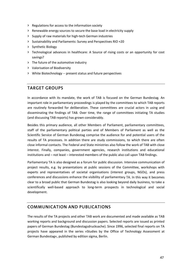- **>** Regulations for access to the information society
- **>** Renewable energy sources to secure the base load in electricity supply
- **>** Supply of raw materials for high‐tech German industries
- **>** Sustainability and Parliaments: Survey and Perspectives RIO +20
- **>** Synthetic Biology
- **>** Technological advances in healthcare: A Source of rising costs or an opportunity for cost savings?
- **>** The future of the automotive industry
- **>** Valorisation of Biodiversity
- **>** White Biotechnology ‐‐ present status and future perspectives

# **TARGET GROUPS**

In accordance with its mandate, the work of TAB is focused on the German Bundestag. An important role in parliamentary proceedings is played by the committees to which TAB reports are routinely forwarded for deliberation. These committees are crucial actors in using and disseminating the findings of TAB. Over time, the range of committees initiating TA studies (and discussing TAB reports) has grown considerably.

Besides this primary audience, all other Members of Parliament, parliamentary committees, staff of the parliamentary political parties and of Members of Parliament as well as the Scientific Service of German Bundestag comprise the audience for and potential users of the results of TA processes. In addition there are study commissions, to which there are often close informal contacts. The Federal and State ministries also follow the work of TAB with close interest. Finally, companies, government agencies, research institutions and educational institutions and – not least – interested members of the public also call upon TAB findings.

Parliamentary TA is also designed as a forum for public discussion. Intensive communication of project results, e.g. by presentations at public sessions of the Committee, workshops with experts and representatives of societal organisations (interest groups, NGOs), and press conferences and discussions enhance the visibility of parliamentary TA. In this way it becomes clear to a broad public that German Bundestag is also looking beyond daily business, to take a scientifically well-based approach to long-term prospects in technological and social development.

# **COMMUNICATION AND PUBLICATIONS**

The results of the TA projects and other TAB work are documented and made available as TAB working reports and background and discussion papers. Selected reports are issued as printed papers of German Bundestag (Bundestagsdrucksache). Since 1996, selected final reports on TA projects have appeared in the series »Studies by the Office of Technology Assessment at German Bundestag«, published by edition sigma, Berlin.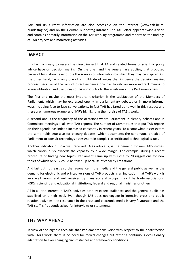TAB and its current information are also accessible on the Internet (www.tab-beimbundestag.de) and on the German Bundestag intranet. The TAB letter appears twice a year, and contains primarily information on the TAB working programme and reports on the findings of TAB projects and monitoring activities.

# **IMPACT**

It is far from easy to assess the direct impact that TA and related forms of scientific policy advice have on decision making. On the one hand the general rule applies, that proposed pieces of legislation never quote the sources of information by which they may be inspired. On the other hand, TA is only one of a multitude of voices that influence the decision making process. Because of the lack of direct evidence one has to rely on more indirect means to assess utilization and usefulness of TA »products« to the »customer«, the Parliamentarians.

The first and maybe the most important criterion is the satisfaction of the Members of Parliament, which may be expressed openly in parliamentary debates or in more informal ways including face to face conversations. In fact TAB has fared quite well in this respect and there are numerous examples of MP's highlighting their praise of TAB's work.

A second one is the frequency of the occasions where Parliament in plenary debates and in Committee meetings deals with TAB‐reports. The number of Committees that put TAB‐reports on their agenda has indeed increased constantly in recent years. To a somewhat lesser extent the same holds true also for plenary debates, which documents the continuous practice of Parliament to consult technology assessment in complex scientific and technological issues.

Another indicator of how well received TAB's advice is, is the demand for new TAB‐studies, which continuously exceeds the capacity by a wide margin. For example, during a recent procedure of finding new topics, Parliament came up with close to 70 suggestions for new topics of which only 12 could be taken up because of capacity limitations.

And last but not least also the resonance in the media and the general public as well as the demand for electronic and printed versions of TAB products is an indication that TAB's work is very well known and well received by many societal groups, may it be trade associations, NGOs, scientific and educational institutions, federal and regional ministries or others.

All in all, the interest in TAB's activities both by expert audiences and the general public has stabilised on a high level. Even though TAB does not engage in intensive press and public relation activities, the resonance in the press and electronic media is very favourable and the TAB-staff is frequently asked for interviews or statements.

### **THE WAY AHEAD**

In view of the highest accolade that Parliamentarians voice with respect to their satisfaction with TAB's work, there is no need for radical changes but rather a continuous evolutionary adaptation to ever changing circumstances and framework conditions.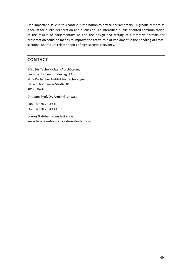One important issue in this context is the notion to devise parliamentary TA gradually more as a forum for public deliberation and discussion. An intensified public‐oriented communication of the results of parliamentary TA and the design and testing of alternative formats for presentation could be means to improve the active role of Parliament in the handling of crosssectional and future related topics of high societal relevancy.

# **CONTACT**

Büro für Technikfolgen‐Abschätzung beim Deutschen Bundestag (TAB) KIT – Karlsruher Institut für Technologie Neue Schönhauser Straße 10 10178 Berlin

Director: Prof. Dr. Armin Grunwald

Fon +49 30 28 49 10 Fax +49 30 28 49 11 19

buero@tab‐beim‐bundestag.de www.tab‐beim‐bundestag.de/en/index.html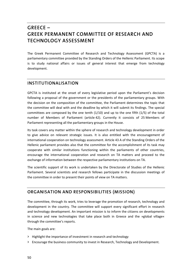# **GREECE – GREEK PERMANENT COMMITTEE OF RESEARCH AND TECHNOLOGY ASSESSMENT**

The Greek Permanent Committee of Research and Technology Assessment (GPCTA) is a parliamentary committee provided by the Standing Orders of the Hellenic Parliament. Its scope is to study national affairs or issues of general interest that emerge from technology development.

### **INSTITUTIONALISATION**

GPCTA is instituted at the onset of every legislative period upon the Parliament's decision following a proposal of the government or the presidents of the parliamentary groups. With the decision on the composition of the committee, the Parliament determines the topic that the committee will deal with and the deadline by which it will submit its findings. The special committees are composed by the one tenth (1/10) and up to the one fifth (1/5) of the total number of Members of Parliament (article 42). Currently it consists of 25 Members of Parliament representing all the parliamentary groups in the House.

Its task covers any matter within the sphere of research and technology development in order to give advice on relevant strategic issues. It is also entitled with the encouragement of international cooperation on technology assessment. Article 43 A of the Standing Orders of the Hellenic parliament provides also that the committee for the accomplishment of its task may cooperate with similar institutions functioning within the parliaments of other countries, encourage the international cooperation and research on TA matters and proceed to the exchange of information between the respective parliamentary institutions on TA.

The scientific support of its work is undertaken by the Directorate of Studies of the Hellenic Parliament. Several scientists and research fellows participate in the discussion meetings of the committee in order to present their points of view on TA matters.

### **ORGANISATION AND RESPONSIBILITIES (MISSION)**

The committee, through its work, tries to leverage the promotion of research, technology and development in the country. The committee will support every significant effort in research and technology development. An important mission is to inform the citizens on developments in science and new technologies that take place both in Greece and the »global village« through the committee's reports.

The main goals are:

- **>** Highlight the importance of investment in research and technology
- **>** Encourage the business community to invest in Research, Technology and Development.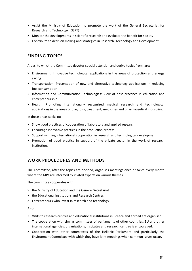- **>** Assist the Ministry of Education to promote the work of the General Secretariat for Research and Technology (GSRT)
- **>** Monitor the developments in scientific research and evaluate the benefit for society
- **>** Contribute to decision making and strategies in Research, Technology and Development

# **FINDING TOPICS**

Areas, to which the Committee devotes special attention and derive topics from, are:

- **>** Environment: Innovative technological applications in the areas of protection and energy saving
- **>** Transportation: Presentation of new and alternative technology applications in reducing fuel consumption
- **>** Information and Communication Technologies: View of best practices in education and entrepreneurship
- **>** Health: Promoting internationally recognized medical research and technological applications in the areas of diagnosis, treatment, medicines and pharmaceutical industries.

In these areas seeks to:

- **>** Show good practices of cooperation of laboratory and applied research
- **>** Encourage innovative practices in the production process
- **>** Support winning international cooperation in research and technological development
- **>** Promotion of good practice in support of the private sector in the work of research institutions

# **WORK PROCEDURES AND METHODS**

The Committee, after the topics are decided, organises meetings once or twice every month where the MPs are informed by invited experts on various themes.

The committee cooperates with:

- **>** the Ministry of Education and the General Secretariat
- **>** the Educational Institutions and Research Centres
- **>** Entrepreneurs who invest in research and technology

#### Also:

- **>** Visits to research centres and educational institutions in Greece and abroad are organised.
- **>** The cooperation with similar committees of parliaments of other countries, EU and other international agencies, organisations, institutes and research centres is encouraged.
- **>** Cooperation with other committees of the Hellenic Parliament and particularly the Environment Committee with which they have joint meetings when common issues occur.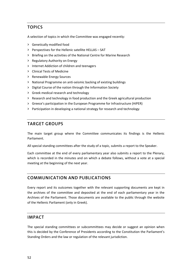# **TOPICS**

A selection of topics in which the Committee was engaged recently:

- **>** Genetically modified food
- **>** Perspectives for the Hellenic satellite HELLAS SAT
- **>** Briefing on the activities of the National Centre for Marine Research
- **>** Regulatory Authority on Energy
- **>** Internet Addiction of children and teenagers
- **>** Clinical Tests of Medicine
- **>** Renewable Energy Sources
- **>** National Programme on anti‐seismic backing of existing buildings
- **>** Digital Course of the nation through the Information Society
- **>** Greek medical research and technology
- **>** Research and technology in food production and the Greek agricultural production
- **>** Greece's participation in the European Programme for Infrastructure (HiPER)
- **>** Participation in developing a national strategy for research and technology

# **TARGET GROUPS**

The main target group where the Committee communicates its findings is the Hellenic Parliament.

All special standing committees after the study of a topic, submits a report to the Speaker.

Each committee at the end of every parliamentary year also submits a report to the Plenary, which is recorded in the minutes and on which a debate follows, without a vote at a special meeting at the beginning of the next year.

# **COMMUNICATION AND PUBLICATIONS**

Every report and its outcomes together with the relevant supporting documents are kept in the archives of the committee and deposited at the end of each parliamentary year in the Archives of the Parliament. Those documents are available to the public through the website of the Hellenic Parliament (only in Greek).

### **IMPACT**

The special standing committees or subcommittees may decide or suggest an opinion when this is decided by the Conference of Presidents according to the Constitution the Parliament's Standing Orders and the law or regulation of the relevant jurisdiction.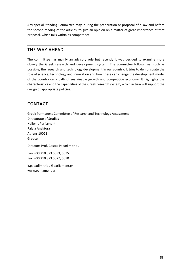Any special Standing Committee may, during the preparation or proposal of a law and before the second reading of the articles, to give an opinion on a matter of great importance of that proposal, which falls within its competence.

## **THE WAY AHEAD**

The committee has mainly an advisory role but recently it was decided to examine more closely the Greek research and development system. The committee follows, as much as possible, the research and technology development in our country. It tries to demonstrate the role of science, technology and innovation and how these can change the development model of the country on a path of sustainable growth and competitive economy. It highlights the characteristics and the capabilities of the Greek research system, which in turn will support the design of appropriate policies.

# **CONTACT**

Greek Permanent Committee of Research and Technology Assessment Directorate of Studies Hellenic Parliament Palaia Anaktora Athens 10021 Greece Director: Prof. Costas Papadimitriou Fon +30 210 373 5053, 5075 Fax +30 210 373 5077, 5070

k.papadimitriou@parliament.gr www.parliament.gr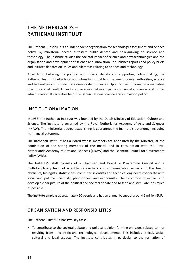# **THE NETHERLANDS – RATHENAU INSTITUUT**

The Rathenau Instituut is an independent organisation for technology assessment and science policy. By ministerial decree it fosters public debate and policymaking on science and technology. The Institute studies the societal impact of science and new technologies and the organisation and development of science and innovation. It publishes reports and policy briefs and initiates debates on issues and dilemmas relating to science and technology.

Apart from fostering the political and societal debate and supporting policy making, the Rathenau Instituut helps build and intensify mutual trust between society, authorities, science and technology and substantiate democratic processes. Upon request it takes on a mediating role in case of conflicts and controversies between parties in society, science and public administration. Its activities help strengthen national science and innovation policy.

### **INSTITUTIONALISATION**

In 1986, the Rathenau Instituut was founded by the Dutch Ministry of Education, Culture and Science. The institute is governed by the Royal Netherlands Academy of Arts and Sciences (KNAW). The ministerial decree establishing it guarantees the Institute's autonomy, including its financial autonomy.

The Rathenau Instituut has a Board whose members are appointed by the Minister, at the nomination of the sitting members of the Board, and in consultation with the Royal Netherlands Academy of Arts and Sciences (KNAW) and the Scientific Council for Government Policy (WRR).

The Institute's staff consists of a Chairman and Board, a Programme Council and a multidisciplinary team of scientific researchers and communication experts. In this team, physicists, biologists, statisticians, computer scientists and technical engineers cooperate with social and political scientists, philosophers and economists. Their common objective is to develop a clear picture of the political and societal debate and to feed and stimulate it as much as possible.

The institute employs approximately 50 people and has an annual budget of around 5 million EUR.

# **ORGANISATION AND RESPONSIBILITIES**

The Rathenau Instituut has two key tasks:

**>** To contribute to the societal debate and political opinion forming on issues related to – or resulting from – scientific and technological developments. This includes ethical, social, cultural and legal aspects. The Institute contributes in particular to the formation of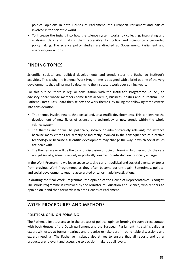political opinions in both Houses of Parliament, the European Parliament and parties involved in the scientific world.

**>** To increase the insight into how the science system works, by collecting, integrating and analysing data and making them accessible for policy and scientifically grounded policymaking. The science policy studies are directed at Government, Parliament and science organisations.

## **FINDING TOPICS**

Scientific, societal and political developments and trends steer the Rathenau Instituut's activities. This is why the biannual Work Programme is designed with a brief outline of the very developments that will primarily determine the institute's work over coming years.

For this outline, there is regular consultation with the Institute's Programme Council, an advisory board whose members come from academia, business, politics and journalism. The Rathenau Instituut's Board then selects the work themes, by taking the following three criteria into consideration:

- **>** The themes involve new technological and/or scientific developments. This can involve the development of new fields of science and technology or new trends within the whole science system.
- **>** The themes are or will be politically, socially or administratively relevant; for instance because many citizens are directly or indirectly involved in the consequences of a certain technology or because a scientific development may change the way in which social issues are dealt with.
- **>** The themes are or will be the topic of discussion or opinion forming. In other words: they are not yet socially, administratively or politically »ready« for introduction to society at large.

In the Work Programme we leave space to tackle current political and societal events, or topics from previous Work Programmes as they often become current again. Sometimes, political and social developments require accelerated or tailor‐made investigations.

In drafting the final Work Programme, the opinion of the House of Representatives is sought. The Work Programme is reviewed by the Minister of Education and Science, who renders an opinion on it and then forwards it to both Houses of Parliament.

# **WORK PROCEDURES AND METHODS**

#### **POLITICAL OPINION FORMING**

The Rathenau Instituut assists in the process of political opinion forming through direct contact with both Houses of the Dutch parliament and the European Parliament. Its staff is called as expert witnesses at formal hearings and organise or take part in round table discussions and expert meetings. The Rathenau Instituut also strives to ensure that all reports and other products are relevant and accessible to decision‐makers at all levels.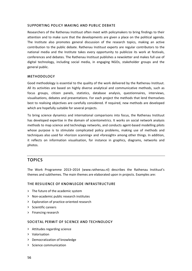#### **SUPPORTING POLICY MAKING AND PUBLIC DEBATE**

Researchers of the Rathenau Instituut often meet with policymakers to bring findings to their attention and to make sure that the developments are given a place on the political agenda. The Institute also promotes general discussion of the research topics, making an active contribution to the public debate. Rathenau Instituut experts are regular contributors to the national media and the Institute takes every opportunity to publicize its work at festivals, conferences and debates. The Rathenau Instituut publishes a newsletter and makes full use of digital technology, including social media, in engaging NGOs, stakeholder groups and the general public.

#### **METHODOLOGY**

Good methodology is essential to the quality of the work delivered by the Rathenau Instituut. All its activities are based on highly diverse analytical and communicative methods, such as focus groups, citizen panels, statistics, database analysis, questionnaires, interviews, visualisations, debates and presentations. For each project the methods that lend themselves best to realising objectives are carefully considered. If required, new methods are developed which are hopefully suitable for several projects.

To bring science dynamics and international comparisons into focus, the Rathenau Instituut has developed expertise in the domain of scientometrics. It works on social network analysis methods to map science and technology networks, and conducts agent‐based modelling pilots whose purpose is to stimulate complicated policy problems, making use of methods and techniques also used for »horizon scanning« and »foresight« among other things. In addition, it reflects on information visualisation, for instance in graphics, diagrams, networks and photos.

### **TOPICS**

The Work Programme 2013–2014 (www.rathenau.nl) describes the Rathenau Instituut's themes and subthemes. The main themes are elaborated upon in projects. Examples are:

#### **THE RESILIENCE OF KNOWLEGDE INFRASTRUCTURE**

- **>** The future of the academic system
- **>** Non‐academic public research institutes
- **>** Exploration of practice‐oriented research
- **>** Scientific careers
- **>** Financing research

#### **SOCIETAL PERMIT OF SCIENCE AND TECHNOLOGY**

- **>** Attitudes regarding science
- **>** Valorisation
- **>** Democratization of knowledge
- **>** Science communication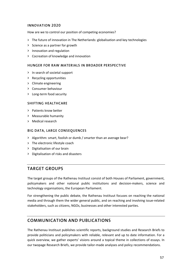#### **INNOVATION 2020**

How are we to control our position of competing economies?

- **>** The future of innovation in The Netherlands: globalisation and key technologies
- **>** Science as a partner for growth
- **>** Innovation and regulation
- **>** Cocreation of knowledge and innovation

#### **HUNGER FOR RAW MATERIALS IN BROADER PERSPECTIVE**

- **>** In search of societal support
- **>** Recycling opportunities
- **>** Climate engineering
- **>** Consumer behaviour
- **>** Long‐term food security

#### **SHIFTING HEALTHCARE**

- **>** Patients know better
- **>** Measurable humanity
- **>** Medical research

#### **BIG DATA, LARGE CONSEQUENCES**

- **>** Algorithm: smart, foolish or dumb / smarter than an average bear?
- **>** The electronic lifestyle coach
- **>** Digitalisation of our brain
- **>** Digitalisation of risks and disasters

### **TARGET GROUPS**

The target groups of the Rathenau Instituut consist of both Houses of Parliament, government, policymakers and other national public institutions and decision‐makers, science and technology organisations, the European Parliament.

For strengthening the public debate, the Rathenau Instituut focuses on reaching the national media and through them the wider general public, and on reaching and involving issue‐related stakeholders, such as citizens, NGOs, businesses and other interested parties.

# **COMMUNICATION AND PUBLICATIONS**

The Rathenau Instituut publishes scientific reports, background studies and Research Briefs to provide politicians and policymakers with reliable, relevant and up to date information. For a quick overview, we gather experts' visions around a topical theme in collections of essays. In our twopage Research Briefs, we provide tailor-made analyses and policy recommendations.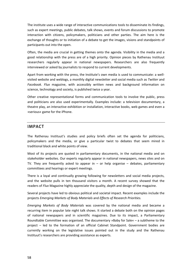The institute uses a wide range of interactive communications tools to disseminate its findings, such as expert meetings, public debates, talk shows, events and forum discussions to promote interaction with citizens, policymakers, politicians and other parties. The aim here is the exchange of thoughts or to initiation of a debate to get the images, visions and standpoints of participants out into the open.

Often, the media are crucial in getting themes onto the agenda. Visibility in the media and a good relationship with the press are of a high priority. Opinion pieces by Rathenau Instituut researchers regularly appear in national newspapers. Researchers are also frequently interviewed or asked by journalists to respond to current developments.

Apart from working with the press, the Institute's own media is used to communicate: a well‐ visited website and weblogs, a monthly digital newsletter and social media such as *Twitter* and *Facebook*. *Flux* magazine, with accessibly written news and background information on science, technology and society, is published twice a year.

Other creative representational forms and communication tools to involve the public, press and politicians are also used experimentally. Examples include: a television documentary, a theatre play, an interactive exhibition or installation, interactive books, web games and even a »serious« game for the iPhone.

# **IMPACT**

The Rathenau Instituut's studies and policy briefs often set the agenda for politicians, policymakers and the media, or give a particular twist to debates that seem mired in traditional black and white points of view.

Most of its projects are quoted in parliamentary documents, in the national media and on stakeholder websites. Our experts regularly appear in national newspapers, news sites and on TV. They are frequently asked to appear in  $-$  or help organise  $-$  debates, parliamentary committees and hearings or expert meetings.

There is a loyal and continually growing following for newsletters and social media projects, and the website pulls in ten thousand visitors a month. A recent survey showed that the readers of *Flux* Magazine highly appreciate the quality, depth and design of the magazine.

Several projects have led to obvious political and societal impact. Recent examples include the projects *Emerging Markets of Body Materials* and *Effects of Research Priorities.*

*Emerging Markets of Body Materials* was covered by the national media and became a recurring item in popular late night talk shows. It started a debate both on the opinion pages of national newspapers and in scientific magazines. Due to its impact, a Parliamentary Roundtable Committee was organised. The documentary »Baby for Sale« – a subtheme to the project – led to the formation of an official Cabinet Standpoint. Government bodies are currently working on the legislative issues pointed out in the study and the Rathenau Instituut's researchers are providing assistance as experts.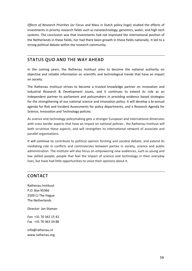*Effects of Research Priorities* (or Focus and Mass in Dutch policy lingo) studied the effects of investments in priority research fields such as nanotechnology, genomics, water, and high tech systems. The conclusion was that investments had not improved the international position of the Netherlands in these fields, nor had there been growth in these fields nationally. It led to a strong political debate within the research community.

# **STATUS QUO AND THE WAY AHEAD**

In the coming years, the Rathenau Instituut aims to become the national authority on objective and reliable information on scientific and technological trends that have an impact on society.

The Rathenau Instituut strives to become a trusted knowledge partner on innovation and industrial Research & Development issues, and it continues to extend its role as an independent partner to parliament and policymakers in providing evidence based strategies for the strengthening of our national science and innovation policy. It will develop a bi-annual agenda for Risk and Incident Assessments for policy departments, and a Research Agenda for Science, Innovation and Technology policies.

As science and technology policymaking gets a stronger European and international dimension with cross border aspects that have an impact on national policies , the Rathenau Instituut will both scrutinize these aspects, and will strengthen its international network of associate and parallel organisations.

It will continue to contribute to political opinion forming and societal debate, and extend Its mediating role in conflicts and controversies between parties in society, science and public administration. The institute will also focus on empowering new audiences, such as young and low skilled people; people that feel the impact of science and technology in their everyday lives, but have had little opportunities to voice their opinions about it.

# **CONTACT**

Rathenau Instituut P.O. Box 95366 2509 CJ The Hague The Netherlands

Director: Jan Staman

Fon +31 70 342 15 42 Fax +31 70 363 34 88

info@rathenau.nl www.rathenau.org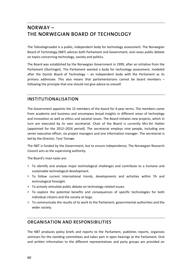# **NORWAY – THE NORWEGIAN BOARD OF TECHNOLOGY**

The Teknologiraadet is a public, independent body for technology assessment. The Norwegian Board of Technology (NBT) advices both Parliament and Government, and raises public debate on topics concerning technology, society and politics.

The Board was established by the Norwegian Government in 1999, after an initiative from the Parliament (Stortinget). The Parliament wanted a body for technology assessment, modeled after the Danish Board of Technology – an independent body with the Parliament as its primary addressee. This also means that parliamentarians cannot be board members – following the principle that one should not give advice to oneself.

# **INSTITUTIONALISATION**

The Government appoints the 15 members of the board for 4‐year terms. The members come from academia and business and encompass broad insights in different areas of technology and innovation as well as ethics and societal issues. The Board initiates new projects, which in turn are executed by its own secretariat. Chair of the Board is currently Mrs Siri Hatlen (appointed for the 2012–2016 period). The secretariat employs nine people, including one senior executive officer, six project managers and one information manager. The secretariat is led by the Director, Tore Tennøe.

The NBT is funded by the Government, but to ensure independence, The Norwegian Research Council acts as the supervising authority.

The Board's main tasks are:

- **>** To identify and analyse major technological challenges and contribute to a humane and sustainable technological development.
- **>** To follow current international trends, developments and activities within TA and technological foresight.
- **>** To actively stimulate public debate on technology related issues.
- **>** To explore the potential benefits and consequences of specific technologies for both individual citizens and the society at large.
- **>** To communicate the results of its work to the Parliament, governmental authorities and the wider society.

# **ORGANISATION AND RESPONSIBILITIES**

The NBT produces policy briefs and reports to the Parliament, publishes reports, organises seminars for the standing committees and takes part in open hearings at the Parliament. Oral and written information to the different representatives and party groups are provided on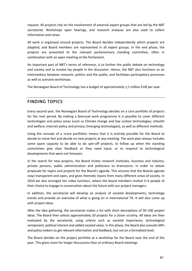request. All projects rely on the involvement of external expert groups that are led by the NBT secretariat. Workshops open hearings, and research analyses are also used to collect information and views.

All work is organised around projects. The Board decides independently which projects are adapted, and Board members are represented in all expert groups. In the end phase, the projects are presented to the relevant parliamentary standing committee, often in combination with an open meeting at the Parliament.

An important part of NBT's terms of reference, is to further the public debate on technology and society and to involve lay people in the discussion. Hence, the NBT also functions as an intermediary between research, politics and the public, and facilitates participatory processes as well as scenario workshops.

The Norwegian Board of Technology has a budget of approximately 1,1 million EUR per year.

# **FINDING TOPICS**

Every second year, the Norwegian Board of Technology decides on a core portfolio of projects for the next period. By making a biannual work programme it is possible to cover different technologies and policy areas (such as Climate change and low carbon technologies; eHealth and welfare; Internet policy and privacy; Emerging technologies), as well as different methods.

Using the concept of a »core portfolio« means that it is entirely possible for the Board to decide to move fast and decide on new projects at any meeting. The work plan always includes some spare capacity to be able to do spin-off projects, to follow up when the standing committees give clear feedback or they need input, or to respond to technological developments that were not foreseen.

In the search for new projects, the Board invites research institutes, business and industry, private persons, public administration and politicians to brainstorm, in order to obtain proposals for topics and projects for the Board's agenda. This ensures that the Boards agenda stays transparent and open, and gives thematic inputs from many different areas of society. In 2010 we also arranged ten »idea lunches«, where the board members invited 3–4 people of their choice to engage in conversation about the future with our project managers.

In addition, the secretariat will develop an analysis of societal developments, technology trends and provide an overview of what is going on in international TA. It will also come up with project ideas.

After the idea gathering, the secretariat makes a list with short descriptions of 50–100 project ideas. The Board then selects approximately 20 projects for a closer scrutiny. All ideas are then evaluated by the secretariat, using criteria such as societal importance, technological component, political interest and added societal value. In this phase, the Board also consults MPs and policy makers to get relevant information and feedback, but not on a formalized level.

The Board decides on the project portfolio at a workshop for the Board near the end of the year. This gives room for longer discussions than at ordinary Board meetings.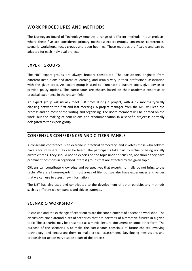### **WORK PROCEDURES AND METHODS**

The Norwegian Board of Technology employs a range of different methods in our projects, where these five are considered primary methods: expert groups, consensus conferences, scenario workshops, focus groups and open hearings. These methods are flexible and can be adapted for each individual project.

### **EXPERT GROUPS**

The NBT expert groups are always broadly constituted. The participants originate from different institutions and areas of learning, and usually vary in their professional association with the given topic. An expert group is used to illuminate a current topic, give advice or provide policy options. The participants are chosen based on their academic expertise or practical experience in the chosen field.

An expert group will usually meet 6–8 times during a project, with 4–12 months typically elapsing between the first and last meetings. A project manager from the NBT will lead the process and do most of the writing and organising. The Board members will be briefed on the work, but the making of conclusions and recommendation in a specific project is normally delegated to the expert group.

### **CONSENSUS CONFERENCES AND CITIZEN PANELS**

A consensus conference is an exercise in practical democracy, and involves those who seldom have a forum where they can be heard. The participants take part by virtue of being socially aware citizens. They should not be experts on the topic under discussion, nor should they have prominent positions in organised interest groups that are affected by the given topic.

Citizens can contribute knowledge and perspectives that experts normally do not bring to the table. We are all non‐experts in most areas of life, but we also have experiences and values that we can use to assess new information.

The NBT has also used and contributed to the development of other participatory methods such as different citizen panels and citizen summits.

### **SCENARIO WORKSHOP**

Discussion and the exchange of experiences are the core elements of a scenario workshop. The discussions circle around a set of scenarios that are portraits of alternative futures in a given topic. The scenarios may be presented as a movie, lecture, document or some other form. The purpose of the scenarios is to make the participants conscious of future choices involving technology, and encourage them to make critical assessments. Developing new visions and proposals for action may also be a part of the process.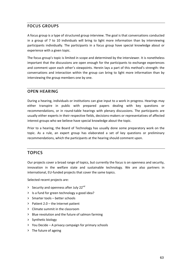### **FOCUS GROUPS**

A focus group is a type of structured group interview. The goal is that conversations conducted in a group of 7 to 10 individuals will bring to light more information than by interviewing participants individually. The participants in a focus group have special knowledge about or experience with a given topic.

The focus group's topic is limited in scope and determined by the interviewer. It is nonetheless important that the discussions are open enough for the participants to exchange experiences and comment upon each other's viewpoints. Herein lays a part of this method's strength: the conversations and interaction within the group can bring to light more information than by interviewing the group members one by one.

#### **OPEN HEARING**

During a hearing, individuals or institutions can give input to a work in progress. Hearings may either transpire in public with prepared papers dealing with key questions or recommendations, or in round‐table hearings with plenary discussions. The participants are usually either experts in their respective fields, decisions‐makers or representatives of affected interest groups who we believe have special knowledge about the topic.

Prior to a hearing, the Board of Technology has usually done some preparatory work on the topic. As a rule, an expert group has elaborated a set of key questions or preliminary recommendations, which the participants at the hearing should comment upon.

### **TOPICS**

Our projects cover a broad range of topics, but currently the focus is on openness and security, innovation in the welfare state and sustainable technology. We are also partners in international, EU‐funded projects that cover the same topics.

Selected recent projects are:

- **>** Security and openness after July 22nd
- **>** Is a fund for green technology a good idea?
- **>** Smarter tools better schools
- **>** Patient 2.0 the Internet patient
- **>** Climate summit in the classroom
- **>** Blue revolution and the future of salmon farming
- **>** Synthetic biology
- **>** You Decide A privacy campaign for primary schools
- **>** The future of ageing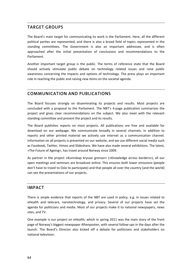# **TARGET GROUPS**

The Board's main target for communicating its work is the Parliament. Here, all the different political parties are represented, and there is also a broad field of topics represented in the standing committees. The Government is also an important addressee, and is often approached after the initial presentation of conclusions and recommendations to the Parliament.

Another important target group is the public. The terms of reference state that the Board should actively stimulate public debate on technology related issues and raise public awareness concerning the impacts and options of technology. The press plays an important role in reaching the public and raising new items on the societal agenda.

# **COMMUNICATION AND PUBLICATIONS**

The Board focuses strongly on disseminating its projects and results. Most projects are concluded with a proposal to the Parliament. The NBT's 4‐page publication summarizes the project and gives clear recommendations on the subject. We also meet with the relevant standing committee and present the project and its results.

The Board publishes reports on most projects. All publications are free and available for download on our webpage. We communicate broadly in several channels. In addition to reports and other printed material we actively use internet as a communication channel. Information on all projects is presented on our website, and we use different social media such as Facebook, Twitter, Vimeo and Slideshare. We have also made several exhibitions. The latest, »The Future of Ageing«, has travel around Norway since 2009.

As partner in the project »Kunnskap kryssar grenser« (»Knowledge across borders«), all our open meetings and seminars are broadcast online. This ensures both lower emissions (people don't have to travel to Oslo to participate) and that people all over the country (and the world) can see the presentations of our projects.

### **IMPACT**

There is ample evidence that reports of the NBT are used in policy, e.g. in issues related to eHealth and telecare, nanotechnology, and privacy. Several of our projects have set the agenda for politicians and media. Most of our projects make it to national newspapers, news sites, and TV.

One example is our project on eHealth, which in spring 2011 was the main story of the front page of Norway's biggest newspaper Aftenposten, with several follow-ups in the days after the launch. The Board's Director also kicked off a debate for politicians and stakeholders on national television.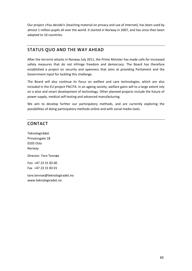Our project »You decide!« (teaching material on privacy and use of Internet), has been used by almost 1 million pupils all over the world. It started in Norway in 2007, and has since then been adapted to 16 countries.

# **STATUS QUO AND THE WAY AHEAD**

After the terrorist attacks in Norway July 2011, the Prime Minister has made calls for increased safety measures that do not infringe freedom and democracy. The Board has therefore established a project on security and openness that aims at providing Parliament and the Government input for tackling this challenge.

The Board will also continue its focus on welfare and care technologies, which are also included in the EU‐project PACITA. In an ageing society, welfare gains will to a large extent rely on a wise and smart development of technology. Other planned projects include the future of power supply, medical self‐testing and advanced manufacturing.

We aim to develop further our participatory methods, and are currently exploring the possibilities of doing participatory methods online and with social media tools.

# **CONTACT**

Teknologirådet Prinsensgate 18 0105 Oslo Norway Director: Tore Tennøe Fon +47 23 31 83 00

Fax +47 23 31 83 01 tore.tennoe@teknologiradet.no

www.teknologiradet.no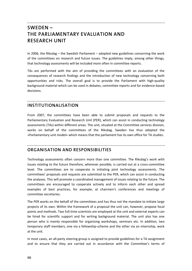# **SWEDEN – THE PARLIAMENTARY EVALUATION AND RESEARCH UNIT**

In 2006, the Riksdag – the Swedish Parliament – adopted new guidelines concerning the work of the committees on research and future issues. The guidelines imply, among other things, that technology assessments will be included more often in committee reports.

TAs are performed with the aim of providing the committees with an evaluation of the consequences of research findings and the introduction of new technology concerning both opportunities and risks. The overall goal is to provide the Parliament with high‐quality background material which can be used in debates, committee reports and for evidence‐based decisions.

# **INSTITUTIONALISATION**

From 2007, the committees have been able to submit proposals and requests to the Parliamentary Evaluation and Research Unit (PER), which can assist in conducting technology assessments (TAs) within different areas. The unit, situated at the Committee services division, works on behalf of the committees of the Riksdag. Sweden has thus adopted the »Parliamentary unit model« which means that the parliament has its own office for TA studies.

### **ORGANISATION AND RESPONSIBILITIES**

Technology assessments often concern more than one committee. The Riksdag's work with issues relating to the future therefore, wherever possible, is carried out at a cross-committee level. The committees are to cooperate in initiating joint technology assessments. The committees' proposals and requests are submitted to the PER, which can assist in conducting the analyses. This will promote a coordinated management of issues relating to the future. The committees are encouraged to cooperate actively and to inform each other and spread examples of best practices, for example, at chairmen's conferences and meetings of committee secretaries.

The PER works on the behalf of the committees and has thus not the mandate to initiate large projects of its own. Within the framework of a proposal the unit can, however, propose focal points and methods. Two full-time scientists are employed at the unit and external experts can be hired for scientific support and for writing background material. The unit also has one person who is mainly responsible for organising workshops, seminars etc. In addition, two temporary staff members, one via a fellowship‐scheme and the other via an internship, work at the unit.

In most cases, an all‐party steering group is assigned to provide guidelines for a TA assignment and to ensure that they are carried out in accordance with the Committee's terms of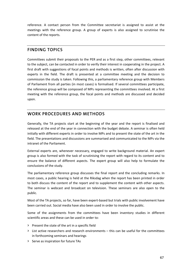reference. A contact person from the Committee secretariat is assigned to assist at the meetings with the reference group. A group of experts is also assigned to scrutinise the content of the reports.

### **FINDING TOPICS**

Committees submit their proposals to the PER and as a first step, other committees, relevant to the subject, can be contacted in order to verify their interest in cooperating in the project. A first draft with suggestions of focal points and methods is written, often after discussion with experts in the field. The draft is presented at a committee meeting and the decision to commission the study is taken. Following this, a parliamentary reference group with Members of Parliament from all parties (in most cases) is formalised. If several committees participate, the reference group will be composed of MPs representing the committees involved. At a first meeting with the reference group, the focal points and methods are discussed and decided upon.

# **WORK PROCEDURES AND METHODS**

Generally, the TA projects start at the beginning of the year and the report is finalised and released at the end of the year in connection with the budget debate. A seminar is often held initially with different experts in order to involve MPs and to present the state of the art in the field. The presentations and discussions are summarised and communicated to the MPs via the intranet of the Parliament.

External experts are, whenever necessary, engaged to write background material. An expert group is also formed with the task of scrutinising the report with regard to its content and to ensure the balance of different aspects. The expert group will also help to formulate the conclusions of the study.

The parliamentary reference group discusses the final report and the concluding remarks. In most cases, a public hearing is held at the Riksdag when the report has been printed in order to both discuss the content of the report and to supplement the content with other aspects. The seminar is webcast and broadcast on television. These seminars are also open to the public.

Most of the TA projects, so far, have been expert-based but trials with public involvement have been carried out. Social media have also been used in order to involve the public.

Some of the assignments from the committees have been inventory studies in different scientific areas and these can be used in order to:

- **>** Present the state of the art in a specific field
- **>** List active researchers and research environments this can be useful for the committees in forthcoming seminars and hearings
- **>** Serve as inspiration for future TAs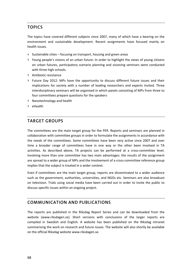## **TOPICS**

The topics have covered different subjects since 2007, many of which have a bearing on the environment and sustainable development. Recent assignments have focused mainly on health issues.

- **>** Sustainable cities focusing on transport, housing and green areas
- **>** Young people's visions of an urban future: In order to highlight the views of young citizens on urban futures, participatory scenario planning and visioning seminars were conducted with three high schools.
- **>** Antibiotic resistance
- **>** Future Day 2012: MPs have the opportunity to discuss different future issues and their implications for society with a number of leading researchers and experts invited. Three interdisciplinary seminars will be organised in which panels consisting of MPs from three to four committees prepare questions for the speakers
- **>** Nanotechnology and health
- **>** eHealth

# **TARGET GROUPS**

The committees are the main target group for the PER. Reports and seminars are planned in collaboration with committee groups in order to formulate the assignments in accordance with the needs of the committees. Some committees have been very active since 2007 and over time a broader range of committees have in one way or the other been involved in TA activities. As described above, TA projects can be performed at a cross-committee level. Involving more than one committee has two main advantages: the results of the assignment are spread to a wider group of MPs and the involvement of a cross-committee reference group implies that the subject is treated in a wider context.

Even if committees are the main target group, reports are disseminated to a wider audience such as the government, authorities, universities, and NGOs etc. Seminars are also broadcast on television. Trials using social media have been carried out in order to invite the public to discuss specific issues within an ongoing project.

### **COMMUNICATION AND PUBLICATIONS**

The reports are published in the Riksdag Report Series and can be downloaded from the website (www.riksdagen.se). Short versions with conclusions of the larger reports are compiled in Swedish and English. A website has been published on the Riksdag intranet summarising the work on research and future issues. The website will also shortly be available on the official Riksdag website www.riksdagen.se.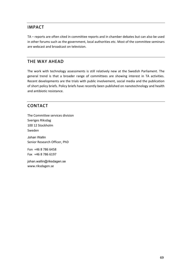# **IMPACT**

TA – reports are often cited in committee reports and in chamber debates but can also be used in other forums such as the government, local authorities etc. Most of the committee seminars are webcast and broadcast on television.

# **THE WAY AHEAD**

The work with technology assessments is still relatively new at the Swedish Parliament. The general trend is that a broader range of committees are showing interest in TA activities. Recent developments are the trials with public involvement, social media and the publication of short policy briefs. Policy briefs have recently been published on nanotechnology and health and antibiotic resistance.

# **CONTACT**

The Committee services division Sveriges Riksdag 100 12 Stockholm Sweden Johan Wallin Senior Research Officer, PhD Fon +46 8 786 6458 Fax +46 8 786 6197 johan.wallin@riksdagen.se

www.riksdagen.se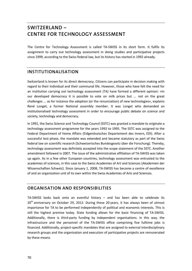# **SWITZERLAND – CENTRE FOR TECHNOLOGY ASSESSMENT**

The Centre for Technology Assessment is called TA‐SWISS in its short form. It fulfils its assignment to carry out technology assessment in doing studies and participative projects since 1999, according to the Swiss federal law, but its history has started in 1992 already.

# **INSTITUTIONALISATION**

Switzerland is known for its direct democracy. Citizens can participate in decision making with regard to their individual and their communal life. However, those who have felt the need for an institution carrying out technology assessment (TA) have formed a different opinion: »In our developed democracy it is possible to vote on milk prices but ... not on the great challenges ... as for instance the adoption (or the renunciation) of new technologies«, explains René Longet, a former National assembly member. It was Longet who demanded an institutionalised technology assessment in order to encourage public debate on science and society, technology and democracy.

In 1991, the Swiss Science and Technology Council (SSTC) was granted a mandate to originate a technology assessment programme for the years 1992 to 1995. The SSTC was assigned to the Federal Department of Home Affairs (Eidgenössisches Departement des Innern, EDI). After a successful test phase, the mandate was extended and became statutory as part of the Swiss federal law on scientific research (Schweizerisches Bundesgesetz über die Forschung). Thereby, technology assessment was definitely accepted into the scope statement of the SSTC. Another amendment followed in 2007. The issue of the administrative affiliation of TA‐SWISS was taken up again. As in a few other European countries, technology assessment was entrusted to the academies of sciences, in this case to the Swiss Academies of Art and Sciences (Akademien der Wissenschaften Schweiz). Since January 1, 2008, TA‐SWISS has become a centre of excellence of and an organisation unit of its own within the Swiss Academies of Arts and Sciences.

### **ORGANISATION AND RESPONSIBILITIES**

TA-SWISS looks back onto an eventful history  $-$  and has been able to celebrate its  $20<sup>th</sup>$  anniversary on October 29, 2012. During these 20 years, it has always been of utmost importance for TA to be performed independently of political and economic interests. This is still the highest premise today. State funding allows for the basic financing of TA‐SWISS. Additionally, there is third‐party funding by independent organisations. In this way, the infrastructure and the personnel of the TA‐SWISS office comprising five fulltime jobs is financed. Additionally, project-specific mandates that are assigned to external interdisciplinary research groups and the organisation and execution of participative projects are remunerated by these means.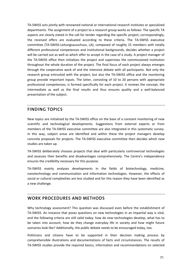TA‐SWISS acts jointly with renowned national or international research institutes or specialized departments. The assignment of a project to a research group works as follows: The specific TA aspects are clearly stated in the call for tender regarding the specific project; correspondingly, the received offers are evaluated according to these criteria. The TA‐SWISS executive committee (TA‐SWISS‐Leitungsausschuss, LA), composed of roughly 15 members with totally different professional competences and institutional backgrounds, decides whether a project will be carried out as well as which offer to accept in the case of a study. A project manager of the TA‐SWISS office then initializes the project and supervises the commissioned institution throughout the whole duration of the project. The final focus of each project always emerges through the cooperative work of and the intensive debate with all participants. Not only the research group entrusted with the project, but also the TA‐SWISS office and the monitoring group provide important inputs. The latter, consisting of 10 to 20 persons with appropriate professional competences, is formed specifically for each project. It reviews the concept, the intermediate as well as the final results and thus ensures quality and a well‐balanced presentation of the subject.

### **FINDING TOPICS**

New topics are initialized by the TA‐SWISS office on the base of a constant monitoring of new scientific and technological developments. Suggestions from external experts or from members of the TA‐SWISS executive committee are also integrated in this systematic survey. In this way, subject areas are identified and within these the project managers develop concrete proposals for projects. The TA‐SWISS executive committee then decides which new studies are taken up.

TA‐SWISS deliberately chooses projects that deal with particularly controversial technologies and assesses their benefits and disadvantages comprehensively. The Centre's independence ensures the credibility necessary for this purpose.

TA‐SWISS mainly analyses developments in the fields of biotechnology, medicine, nanotechnology and communication and information technologies. However, the effects of social or cultural complexities are less studied and for this reason they have been identified as a new challenge.

# **WORK PROCEDURES AND METHODS**

Why technology assessment? This question was discussed even before the establishment of TA-SWISS. An instance that poses questions on new technologies in an impartial way is vital, and the following criteria are still valid today: how do new technologies develop, what has to be taken into account, how do they change everyday life in society and how might future scenarios look like? Additionally, the public debate needs to be encouraged today, too.

Politicians and citizens have to be supported in their decision making process by comprehensible illustrations and documentations of facts and circumstances. The results of TA‐SWISS studies provide the required basics, information and recommendations on selected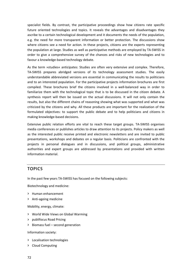specialist fields. By contrast, the participative proceedings show how citizens rate specific future oriented technologies and topics. It reveals the advantages and disadvantages they ascribe to a certain technological development and it documents the needs of the population, e.g. the need for more transparent information or better protection. The discussions show where citizens see a need for action. In these projects, citizens are the experts representing the population at large. Studies as well as participative methods are employed by TA‐SWISS in order to give a comprehensive survey of the chances and risks of new technologies and to favour a knowledge‐based technology debate.

As the term »studies« anticipates: Studies are often very extensive and complex. Therefore, TA-SWISS prepares abridged versions of its technology assessment studies. The easily understandable abbreviated versions are essential in communicating the results to politicians and to an interested population. For the participative projects information brochures are first compiled. These brochures brief the citizens involved in a well-balanced way in order to familiarize them with the technological topic that is to be discussed in the citizen debate. A synthesis report will then be issued on the actual discussions. It will not only contain the results, but also the different chains of reasoning showing what was supported and what was criticized by the citizens and why. All these products are important for the realization of the formulated objectives: to support the public debate and to help politicians and citizens in making knowledge‐based decisions.

Extensive public relation efforts are vital to reach these target groups. TA‐SWISS organises media conferences or publishes articles to draw attention to its projects. Policy makers as well as the interested public receive printed and electronic newsletters and are invited to public presentations, workshops and debates on a regular basis. Politicians are confronted with the projects in personal dialogues and in discussions, and political groups, administrative authorities and expert groups are addressed by presentations and provided with written information material.

### **TOPICS**

In the past few years TA‐SWISS has focused on the following subjects:

Biotechnology and medicine:

- **>** Human enhancement
- **>** Anti‐ageing medicine

Mobility, energy, climate:

- **>** World Wide Views on Global Warming
- **>** publifocus Road Pricing
- **>** Biomass fuel second generation

Information society:

- **>** Localisation technologies
- **>** Cloud Computing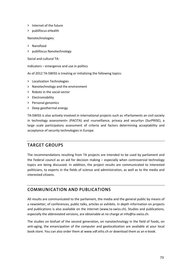- **>** Internet of the future
- **>** publifocus eHealth

Nanotechnologies:

- **>** Nanofood
- **>** publifocus Nanotechnology

Social and cultural TA:

Indicators – emergence and use in politics

As of 2012 TA‐SWISS is treating or initializing the following topics:

- **>** Localization Technologies
- **>** Nanotechnology and the environment
- **>** Robots in the social sector
- **>** Electromobility
- **>** Personal genomics
- **>** Deep geothermal energy

TA‐SWISS is also actively involved in international projects such as »Parliaments an civil society in technology assessment« (PACITA) and »surveillance, privacy and security« (SurPRISE), a large scale participatory assessment of criteria and factors determining acceptability and acceptance of security technologies in Europe.

# **TARGET GROUPS**

The recommendations resulting from TA projects are intended to be used by parliament and the Federal council as an aid for decision making – especially when controversial technology topics are being discussed. In addition, the project results are communicated to interested politicians, to experts in the fields of science and administration, as well as to the media and interested citizens.

# **COMMUNICATION AND PUBLICATIONS**

All results are communicated to the parliament, the media and the general public by means of a newsletter, of conferences, public talks, articles or exhibits. In depth information on projects and publications is also available on the internet (www.ta-swiss.ch). Studies and publications, especially the abbreviated versions, are obtainable at no charge at info@ta-swiss.ch.

The studies on biofuel of the second generation, on nanotechnology in the field of foods, on anti‐aging, the emancipation of the computer and geolocalization are available at your local book store. You can also order them at www.vdf.ethz.ch or download them as an e‐book.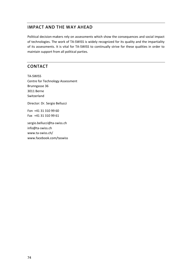# **IMPACT AND THE WAY AHEAD**

Political decision‐makers rely on assessments which show the consequences and social impact of technologies. The work of TA‐SWISS is widely recognized for its quality and the impartiality of its assessments. It is vital for TA‐SWISS to continually strive for these qualities in order to maintain support from all political parties.

# **CONTACT**

TA‐SWISS Centre for Technology Assessment Brunngasse 36 3011 Berne Switzerland Director: Dr. Sergio Bellucci Fon +41 31 310 99 60

sergio.bellucci@ta‐swiss.ch info@ta‐swiss.ch www.ta‐swiss.ch/ www.facebook.com/taswiss

Fax +41 31 310 99 61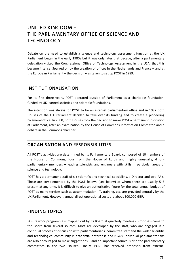# **UNITED KINGDOM – THE PARLIAMENTARY OFFICE OF SCIENCE AND TECHNOLOGY**

Debate on the need to establish a science and technology assessment function at the UK Parliament began in the early 1980s but it was only later that decade, after a parliamentary delegation visited the Congressional Office of Technology Assessment in the USA, that this became intense. Spurred on by the creation of offices in the Netherlands and France – and at the European Parliament – the decision was taken to set up POST in 1989.

# **INSTITUTIONALISATION**

For its first three years, POST operated outside of Parliament as a charitable foundation, funded by UK learned societies and scientific foundations.

The intention was always for POST to be an internal parliamentary office and in 1992 both Houses of the UK Parliament decided to take over its funding and to create a pioneering bicameral office. In 2000, both Houses took the decision to make POST a permanent institution at Parliament, after an examination by the House of Commons Information Committee and a debate in the Commons chamber.

# **ORGANISATION AND RESPONSIBILITIES**

All POST's activities are determined by its Parliamentary Board, composed of 10 members of the House of Commons, four from the House of Lords and, highly unusually, 4 non‐ parliamentary members – leading scientists and engineers with skills in particular areas of science and technology.

POST has a permanent staff of six scientific and technical specialists, a Director and two PA's. These are complemented by the POST fellows (see below) of whom there are usually 5–6 present at any time. It is difficult to give an authoritative figure for the total annual budget of POST as many services such as accommodation, IT, training, etc. are provided centrally by the UK Parliament. However, annual direct operational costs are about 500,000 GBP.

# **FINDING TOPICS**

POST's work programme is mapped out by its Board at quarterly meetings. Proposals come to the Board from several sources. Most are developed by the staff, who are engaged in a continual process of discussion with parliamentarians, committee staff and the wider scientific and technological community in academia, enterprise and NGOs. Individual parliamentarians are also encouraged to make suggestions – and an important source is also the parliamentary committees in the two Houses. Finally, POST has received proposals from external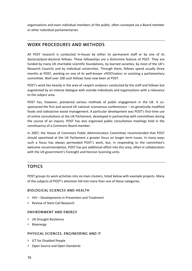organisations and even individual members of the public, often conveyed via a Board member or other individual parliamentarian.

# **WORK PROCEDURES AND METHODS**

All POST research is conducted in-house by either its permanent staff or by one of its doctoral/post‐doctoral fellows. These fellowships are a distinctive feature of POST. They are funded by many UK charitable scientific foundations, by learned societies, by most of the UK's Research Councils and by individual universities. Through them, fellows spend usually three months at POST, working on one of its well-known »POSTnotes« or assisting a parliamentary committee. Well over 100 such fellows have now been at POST.

POST's work lies heavily in the area of »expert analysis« conducted by the staff and fellows but augmented by an intense dialogue with outside individuals and organisations with a relevance to the subject area.

POST has, however, pioneered various methods of public engagement in the UK. It cosponsored the first and second UK national »consensus conferences« – on genetically modified foods and radioactive waste management. A particular development was POST's first‐time use of online consultations at the UK Parliament, developed in partnership with committees during the course of an inquiry. POST has also organised public consultation meetings held in the constituency of a Commons Board member.

In 2007, the House of Commons Public Administration Committee recommended that POST should spearhead at the UK Parliament a greater focus on longer term issues. In many ways such a focus has always permeated POST's work, but, in responding to the committee's welcome recommendation, POST has put additional effort into this area, often in collaboration with the UK government's Foresight and Horizon Scanning units.

# **TOPICS**

POST groups its work activities into six main clusters, listed below with example projects. Many of the subjects of POST's attention fall into more than one of these categories.

#### **BIOLOGICAL SCIENCES AND HEALTH**

- **>** HIV Developments in Prevention and Treatment
- **>** Review of Stem Cell Research

#### **ENVIRONMENT AND ENERGY**

- **>** UK Drought Resilience
- **>** Bioenergy

#### **PHYSICAL SCIENCES, ENGINEERING AND IT**

- **>** ICT for Disabled People
- **>** Open Source and Open Standards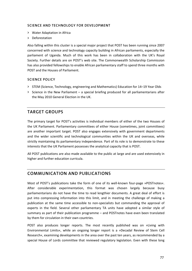#### **SCIENCE AND TECHNOLOGY FOR DEVELOPMENT**

- **>** Water Adaptation in Africa
- **>** Deforestation

Also falling within this cluster is a special major project that POST has been running since 2007 concerned with science and technology capacity building in African parliaments, especially the parliament of Uganda. Much of this work has been in collaboration with the UK's Royal Society. Further details are on POST's web site. The Commonwealth Scholarship Commission has also provided fellowships to enable African parliamentary staff to spend three months with POST and the Houses of Parliament.

#### **SCIENCE POLICY**

- **>** STEM (Science, Technology, engineering and Mathematics) Education for 14–19 Year Olds
- **>** Science in the New Parliament a special briefing produced for all parliamentarians after the May 2010 General Election in the UK.

## **TARGET GROUPS**

The primary target for POST's activities is individual members of either of the two Houses of the UK Parliament. Parliamentary committees of either House (sometimes, joint committees) are another important target. POST also engages extensively with government departments and the wider scientific and technological communities within the UK and overseas, while strictly maintaining its parliamentary independence. Part of its role is to demonstrate to these interests that the UK Parliament possesses the analytical capacity that is POST.

All POST publications are also made available to the public at large and are used extensively in higher and further education curricula.

# **COMMUNICATION AND PUBLICATIONS**

Most of POST's publications take the form of one of its well-known four-page »POSTnotes«. After considerable experimentation, this format was chosen largely because busy parliamentarians do not have the time to read lengthier documents. A great deal of effort is put into compressing information into this limit, and in meeting the challenge of making a publication at the same time accessible to non‐specialists but commanding the approval of experts in the field. Several other parliamentary TA units have adopted a similar style of summary as part of their publication programme – and POSTnotes have even been translated by them for circulation in their own countries.

POST also produces longer reports. The most recently published was on »Living with Environmental Limits«, while an ongoing longer report is a »Decadal Review of Stem Cell Research«, examining developments in the area over the past ten years, as recommended by a special House of Lords committee that reviewed regulatory legislation. Even with these long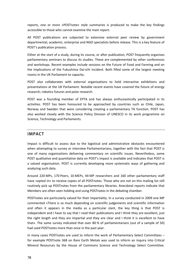reports, one or more »POSTnote« style summaries is produced to make the key findings accessible to those who cannot examine the main report.

All POST publications are subjected to extensive external peer review by government departmental, academic, enterprise and NGO specialists before release. This is a key feature of POST's publication process.

Either at the start of a study, during its course, or after publication, POST frequently organises parliamentary seminars to discuss its studies. These are complemented by other conferences and workshops. Recent examples include sessions on the Future of Food and Farming and on the Implications of the Fukushima Dai‐ichi Incident. Both filled some of the largest meeting rooms in the UK Parliament to capacity.

POST also collaborates with external organisations to hold interactive exhibitions and presentations at the UK Parliament. Notable recent events have covered the future of energy research; robotics futures and polar research.

POST was a founding member of EPTA and has always enthusiastically participated in its activities. POST has been honoured to be approached by countries such as Chile, Japan, Norway and Sweden that were considering creating a parliamentary TA function. POST has also worked closely with the Science Policy Division of UNESCO in its work programme on Science, Technology and Parliaments.

# **IMPACT**

Impact is difficult to assess due to the logistical and administrative obstacles encountered when attempting to survey or interview Parliamentarians, together with the fact that POST is one of many organisations delivering commentary on scientific issues. Nevertheless, some POST qualitative and quantitative data on POST's impact is available and indicates that POST is a valued organisation. POST is currently developing more systematic ways of gathering and analyzing such data.

Around 220 MPs, 170 Peers, 10 MEPs, 44 MP researchers and 160 other parliamentary staff have »opted in« to receive copies of all POSTnotes. Those who are not on this mailing list still routinely pick up POSTnotes from the parliamentary libraries. Anecdotal reports indicate that Members are often seen holding and using POSTnotes in the debating chamber.

POSTnotes are particularly valued for their impartiality. In a survey conducted in 2009 one MP commented »There is so much depending on scientific judgements and scientific information and often it appears in the media as a particular slant, the key thing is that POST is independent and I have to say that I read their publications and I think they are excellent, just the right length and they are impartial and they are clear and I think it is excellent to have that«. The same survey indicated that over 80 % of parliamentarians (out of a sample of 50) had used POSTnotes more than once in the past year.

In many cases POSTnotes are used to inform the work of Parliamentary Select Committees – for example POSTnote 368 on Rare Earth Metals was used to inform an inquiry into Critical Mineral Resources by the House of Commons Science and Technology Select Committee.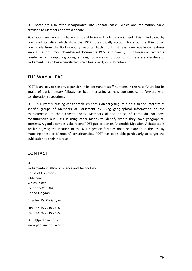POSTnotes are also often incorporated into »debate packs« which are information packs provided to Members prior to a debate.

POSTnotes are known to have considerable impact outside Parliament. This is indicated by download statistics, which show that POSTnotes usually account for around a third of all downloads from the Parliamentary website. Each month at least one POSTnote features among the top 5 most downloaded documents. POST also over 1,200 followers on twitter, a number which is rapidly growing, although only a small proportion of these are Members of Parliament. It also has a newsletter which has over 3,500 subscribers.

## **THE WAY AHEAD**

POST is unlikely to see any expansion in its permanent staff numbers in the near future but its intake of parliamentary fellows has been increasing as new sponsors come forward with collaboration suggestions.

POST is currently putting considerable emphasis on targeting its output to the interests of specific groups of Members of Parliament by using geographical information on the characteristics of their constituencies. Members of the House of Lords do not have constituencies but POST is using other means to identify where they have geographical interests. A good example is the recent POST publication on Anaerobic Digestion. A database is available giving the location of the 60+ digestion facilities open or planned in the UK. By matching these to Members' constituencies, POST has been able particularly to target the publication to their interests.

### **CONTACT**

POST Parliamentary Office of Science and Technology House of Commons 7 Millbank Westminster London SW1P 3JA United Kingdom Director: Dr. Chris Tyler Fon +44 20 7219 2840 Fax +44 20 7219 2849 POST@parliament.uk www.parliament.uk/post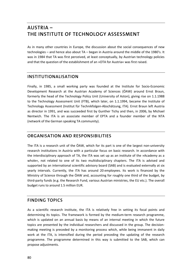# **AUSTRIA – THE INSTITUTE OF TECHNOLOGY ASSESSMENT**

As in many other countries in Europe, the discussion about the social consequences of new technologies – and hence also about TA – began in Austria around the middle of the 1980's. It was in 1984 that TA was first perceived, at least conceptually, by Austrian technology policies and that the question of the establishment of an »OTA for Austria« was first raised.

# **INSTITUTIONALISATION**

Finally, in 1985, a small working party was founded at the Institute for Socio‐Economic Development Research at the Austrian Academy of Sciences (ÖAW) around Ernst Braun, formerly the head of the Technology Policy Unit (University of Aston), giving rise on 1.1.1988 to the Technology Assessment Unit (FTB), which later, on 1.1.1994, became the Institute of Technology Assessment (Institut für Technikfolgen‐Abschätzung, ITA). Ernst Braun left Austria as director in 1991, and was succeeded first by Gunther Tichy and then, in 2006, by Michael Nentwich. The ITA is an associate member of EPTA and a founder member of the NTA (network of the German speaking TA community).

# **ORGANISATION AND RESPONSIBILITIES**

The ITA is a research unit of the ÖAW, which for its part is one of the largest non‐university research institutions in Austria with a particular focus on basic research. In accordance with the interdisciplinary approach of TA, the ITA was set up as an institute of the »Academy as a whole«, not related to one of its two multidisciplinary chapters. The ITA is advised and supported by an international scientific advisory board (SAB) and is evaluated externally at six yearly intervals. Currently, the ITA has around 20 employees. Its work is financed by the Ministry of Science through the ÖAW and, accounting for roughly one third of the budget, by third‐party funds (e.g. the Research Fund, various Austrian ministries, the EU etc.). The overall budget runs to around 1.5 million EUR.

# **FINDING TOPICS**

As a scientific research institute, the ITA is relatively free in setting its focal points and determining its topics. The framework is formed by the medium‐term research programme, which is updated on an annual basis by means of an internal meeting in which the future topics are presented by the individual researchers and discussed in the group. The decision‐ making meeting is preceded by a monitoring process which, while being immanent in daily work at the ITA, is intensified during the period preceding the updating of the research programme. The programme determined in this way is submitted to the SAB, which can propose adjustments.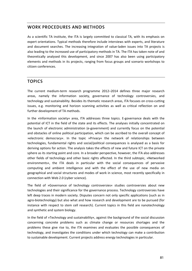### **WORK PROCEDURES AND METHODS**

As a scientific TA institute, the ITA is largely committed to classical TA, with its emphasis on expert orientations. Typical methods therefore include interviews with experts, and literature and document searches. The increasing integration of value‐laden issues into TA projects is also leading to the increased use of participatory methods in TA. The ITA has taken note of and theoretically analysed this development, and since 2007 has also been using participatory elements and methods in its projects, ranging from focus groups and scenario workshops to citizen conferences.

## **TOPICS**

The current medium‐term research programme 2012–2014 defines three major research areas, namely the information society, governance of technology controversies, and technology and sustainability. Besides its thematic research areas, ITA focuses on cross‐cutting issues, e.g. monitoring and horizon scanning activities as well as critical reflection on and further development of TA methods.

In the »Information society« area, ITA addresses three topics. E‐governance deals with the potential of ICT in the field of the state and its effects. The analyses initially concentrated on the launch of electronic administration (e‐government) and currently focus on the potential and obstacles of online political participation, which can be ascribed to the overall concept of »electronic democracy«. In the topic »Privacy« the network of relationships between technologies, fundamental rights and social/political consequences is analysed as a basis for deriving options for action. The analysis takes the effects of new and future ICT on the private sphere as its starting point and core. In a broader perspective, however, the ITA also addresses other fields of technology and other basic rights affected. In the third subtopic, »Networked environments«, the ITA deals in particular with the social consequences of pervasive computing and ambient intelligence and with the effect of the use of new media on geographical and social structures and modes of work in science, most recently specifically in connection with Web 2.0 (cyber science).

The field of »Governance of technology controversies« studies controversies about new technologies and their significance for the governance process. Technology controversies have left deep traces in modern society. Disputes concern not only specific applications (such as in agro-biotechnology) but also what and how research and development are to be pursued (for instance with respect to stem cell research). Current topics in this field are nanotechnology and synthetic and system biology.

In the field of »Technology and sustainability«, against the background of the social discussion concerning concrete problems such as climate change or resources shortages and the problems these give rise to, the ITA examines and evaluates the possible consequences of technology, and investigates the conditions under which technology can make a contribution to sustainable development. Current projects address energy technologies in particular.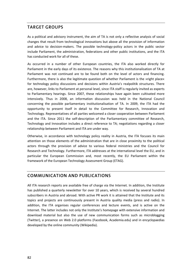### **TARGET GROUPS**

As a political and advisory instrument, the aim of TA is not only a reflective analysis of social changes that result from technological innovations but above all the provision of information and advice to decision-makers. The possible technology-policy actors in the public sector include Parliament, the administration, federations and other public institutions, and the ITA has conducted work for all of these.

As occurred in a number of other European countries, the ITA also worked directly for Parliament in the early days of its existence. The reasons why this institutionalisation of TA at Parliament was not continued are to be found both on the level of actors and financing. Furthermore, there is also the legitimate question of whether Parliament is the »right place« for technology policy discussions and decisions within Austria's realpolitik structures. There are, however, links to Parliament at personal level, since ITA staff is regularly invited as experts to Parliamentary hearings. Since 2007, these relationships have again been cultivated more intensively. Thus in 2008, an information discussion was held in the National Council concerning the possible parliamentary institutionalisation of TA. In 2009, the ITA had the opportunity to present itself in detail to the Committee for Research, Innovation and Technology. Representatives of all parties welcomed a closer cooperation between Parliament and the ITA. Since 2011 the self-description of the Parliamentary committee of Research, Technology and Innovation includes a direct reference to TA; negotiations regarding a closer relationship between Parliament and ITA are under way.

Otherwise, in accordance with technology policy reality in Austria, the ITA focuses its main attention on those elements of the administration that are in close proximity to the political actors through the provision of advice to various federal ministries and the Council for Research and Technology. Furthermore, ITA addresses at the international level the EU, and in particular the European Commission and, most recently, the EU Parliament within the framework of the European Technology Assessment Group (ETAG).

# **COMMUNICATION AND PUBLICATIONS**

All ITA research reports are available free of charge via the Internet. In addition, the Institute has published a quarterly newsletter for over 10 years, which is received by several hundred subscribers in Austria and abroad. With active PR work it is attained that the Institute and its topics and projects are continuously present in Austria quality media (press and radio). In addition, the ITA organises regular conferences and lecture events, and is active on the Internet. The latter includes not only the Institute's homepage with extensive information and download material but also the use of new communication forms such as microblogging (Twitter), a presence on Web 2.0 platforms (Facebook, Academia.edu) and in encyclopaedias developed by the online community (Wikipedia).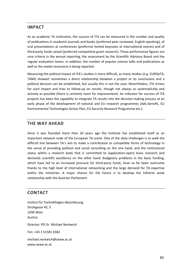### **IMPACT**

As an academic TA institution, the success of ITA can be measured in the number and quality of publications in academic journals and books (preferred peer-reviewed, English-speaking), of oral presentations at conferences (preferred invited keynotes at international events) and of third‐party funds raised (preferred competitive grant research). These performance figures are core criteria in the annual reporting, the assessment by the Scientific Advisory Board and the regular evaluation teams. In addition, the number of popular science talks and publications as well as the media resonance is being reported.

Measuring the political impact of ITA's studies is more difficult, as many studies (e.g. EUROpTA, TAMI) showed: sometimes a direct relationship between a project or its conclusions and a political decision can be established, but usually this is not the case. Nevertheless, ITA strives for such impact and tries to follow-up on results, though not always as systematically and actively as possible (there is certainly room for improvement). An indicator for success of ITA projects has been the capability to integrate TA results into the decision‐making process at an early phase of the development of national and EU research programmes (AAL‐benefit, EU Environmental Technologies Action Plan, EU Security Research Programme etc.).

### **THE WAY AHEAD**

Since it was founded more than 20 years ago the Institute has established itself as an important network node of the European TA scene. One of the daily challenges is to walk the difficult line between TA's aim to make a contribution to compatible forms of technology in the sense of providing political and social consulting on the one hand, and the institutional status within a research body that is committed to (application-open) basic research and demands scientific excellence on the other hand. Budgetary problems in the basic funding, which have led to an increased pressure for third-party funds, have so far been overcome thanks to the high level of international networking and the large demand for TA expertise within the ministries. A major chance for the future is to develop the hitherto weak relationship with the Austrian Parliament.

### **CONTACT**

Institut für Technikfolgen‐Abschätzung Strohgasse 45, 5 1030 Wien Austria Director: PD Dr. Michael Nentwich Fon +43 1 51581 6582 michael.nentwich@oeaw.ac.at www.oeaw.ac.at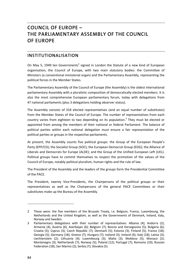# **COUNCIL OF EUROPE – THE PARLIAMENTARY ASSEMBLY OF THE COUNCIL OF EUROPE**

## **INSTITUTIONALISATION**

On May 5, 1949 ten Governments<sup>2</sup> signed in London the Statute of a new kind of European organisation, the Council of Europe, with two main statutory bodies: the Committee of Ministers (a conventional ministerial organ) and the Parliamentary Assembly, representing the political forces in the Member States.

The Parliamentary Assembly of the Council of Europe (the Assembly) is the oldest international parliamentary Assembly with a pluralistic composition of democratically elected members. It is also the most comprehensive European parliamentary forum, today with delegations from 47 national parliaments (plus 3 delegations holding observer status).

The Assembly consists of 318 elected representatives (and an equal number of substitutes) from the Member States of the Council of Europe. The number of representatives from each country varies from eighteen to two depending on its population.<sup>3</sup> They must be elected or appointed from among the members of their national or federal Parliament. The balance of political parties within each national delegation must ensure a fair representation of the political parties or groups in the respective parliaments.

At present, the Assembly counts five political groups: the Group of the European People's Party (EPP/CD); the Socialist Group (SOC); the European Democrat Group (EDG); the Alliance of Liberals and Democrats for Europe (ALDE); and the Group of the Unified European Left (UEL). Political groups have to commit themselves to respect the promotion of the values of the Council of Europe, notably political pluralism, human rights and the rule of law.

The President of the Assembly and the leaders of the groups form the Presidential Committee of the PACE.

The President, twenty Vice‐Presidents, the Chairpersons of the political groups or their representatives as well as the Chairpersons of the general PACE Committees or their substitutes make up the Bureau of the Assembly.

<sup>2</sup> These were: the five members of the Brussels Treaty, i.e. Belgium, France, Luxembourg, the Netherlands and the United Kingdom, as well as the Governments of Denmark, Ireland, Italy, Norway and Sweden.

<sup>3</sup> Parliamentary delegations with their number of representatives: Albania (4); Andorra (2); Armenia (4); Austria (6); Azerbaijan (6); Belgium (7); Bosnia and Herzegovina (5); Bulgaria (6); Croatia (5); Cyprus (3); Czech Republic (7); Denmark (5); Estonia (3); Finland (5); France (18); Georgia (5); Germany (18); Greece (7); Hungary (7); Iceland (3); Ireland (4); Italy (18); Latvia (3); Liechtenstein (2); Lithuania (4); Luxembourg (3); Malta (3); Moldova (5); Monaco (2); Montenegro (3); Netherlands (7); Norway (5); Poland (12); Portugal (7); Romania (10); Russian Federation (18); San Marino (2); Serbia (7); Slovakia (5).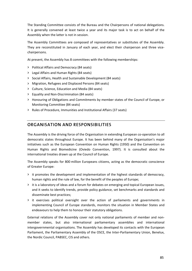The Standing Committee consists of the Bureau and the Chairpersons of national delegations. It is generally convened at least twice a year and its major task is to act on behalf of the Assembly when the latter is not in session.

The Assembly Committees are composed of representatives or substitutes of the Assembly. They are reconstituted in January of each year, and elect their chairperson and three vicechairpersons.

At present, the Assembly has 8 committees with the following memberships:

- **>** Political Affairs and Democracy (84 seats)
- **>** Legal Affairs and Human Rights (84 seats)
- **>** Social Affairs, Health and Sustainable Development (84 seats)
- **>** Migration, Refugees and Displaced Persons (84 seats)
- **>** Culture, Science, Education and Media (84 seats)
- **>** Equality and Non‐Discrimination (84 seats)
- **>** Honouring of Obligations and Commitments by member states of the Council of Europe, or Monitoring Committee (84 seats)
- **>** Rules of Procedure, Immunities and Institutional Affairs (37 seats)

# **ORGANISATION AND RESPONSIBILITIES**

The Assembly is the driving force of the Organisation in extending European co-operation to all democratic states throughout Europe. It has been behind many of the Organisation's major initiatives such as the European Convention on Human Rights (1950) and the Convention on Human Rights and Biomedicine (Oviedo Convention, 1997). It is consulted about the international treaties drawn up at the Council of Europe.

The Assembly speaks for 800 million Europeans citizens, acting as the democratic conscience of Greater Europe:

- **>** it promotes the development and implementation of the highest standards of democracy, human rights and the rule of law, for the benefit of the peoples of Europe;
- **>** it is a laboratory of ideas and a forum for debates on emerging and topical European issues, and it seeks to identify trends, provide policy guidance, set benchmarks and standards and disseminate best practices;
- **>** it exercises political oversight over the action of parliaments and governments in implementing Council of Europe standards, monitors the situation in Member States and endeavours to help them to honour their statutory obligations.

External relations of the Assembly cover not only national parliaments of member and non‐ member states, but also international parliamentary assemblies and international intergovernmental organisations. The Assembly has developed its contacts with the European Parliament, the Parliamentary Assembly of the OSCE, the Inter-Parliamentary Union, Benelux, the Nordic Council, PABSEC, CIS and others.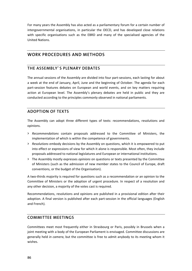For many years the Assembly has also acted as a parliamentary forum for a certain number of intergovernmental organisations, in particular the OECD, and has developed close relations with specific organisations such as the EBRD and many of the specialised agencies of the United Nations.

# **WORK PROCEDURES AND METHODS**

### **THE ASSEMBLY' S PLENARY DEBATES**

The annual sessions of the Assembly are divided into four part‐sessions, each lasting for about a week at the end of January, April, June and the beginning of October. The agenda for each part‐session features debates on European and world events, and on key matters requiring action at European level. The Assembly's plenary debates are held in public and they are conducted according to the principles commonly observed in national parliaments.

### **ADOPTION OF TEXTS**

The Assembly can adopt three different types of texts: recommendations, resolutions and opinions.

- **>** *Recommendations* contain proposals addressed to the Committee of Ministers, the implementation of which is within the competence of governments.
- **>** *Resolutions* embody decisions by the Assembly on questions, which it is empowered to put into effect or expressions of view for which it alone is responsible. Most often, they include proposals addressed to national legislatures and European or international institutions.
- **>** The Assembly mostly expresses *opinions* on questions or texts presented by the Committee of Ministers (such as the admission of new member states to the Council of Europe, draft conventions, or the budget of the Organisation).

A two-thirds majority is required for questions such as a recommendation or an opinion to the Committee of Ministers or the adoption of urgent procedure. In respect of a resolution and any other decision, a majority of the votes cast is required.

Recommendations, resolutions and opinions are published in a provisional edition after their adoption. A final version is published after each part‐session in the official languages (English and French).

### **COMMITTEE MEETINGS**

Committees meet most frequently either in Strasbourg or Paris, possibly in Brussels when a joint meeting with a body of the European Parliament is envisaged. Committee discussions are generally held *in camera*, but the committee is free to admit anybody to its meeting whom it wishes.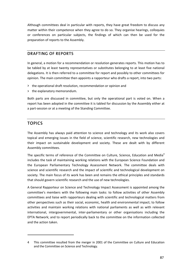Although committees deal in particular with reports, they have great freedom to discuss any matter within their competence when they agree to do so. They organise hearings, colloquies or conferences on particular subjects, the findings of which can then be used for the preparation of reports to the Assembly.

### **DRAFTING OF REPORTS**

In general, a motion for a recommendation or resolution generates reports. This motion has to be tabled by at least twenty representatives or substitutes belonging to at least five national delegations. It is then referred to a committee for report and possibly to other committees for opinion. The main committee then appoints a rapporteur who drafts a report, into two parts:

- **>** the operational draft resolution, recommendation or opinion and
- **>** the explanatory memorandum.

Both parts are discussed in committee, but only the operational part is voted on. When a report has been adopted in the committee it is tabled for discussion by the Assembly either at a part‐session or at a meeting of the Standing Committee.

## **TOPICS**

The Assembly has always paid attention to science and technology and its work also covers topical and emerging issues in the field of science, scientific research, new technologies and their impact on sustainable development and society. These are dealt with by different Assembly committees.

The specific terms of reference of the Committee on Culture, Science, Education and Media<sup>4</sup> includes the task of maintaining working relations with the European Science Foundation and the European Parliamentary Technology Assessment Network. The committee deals with science and scientific research and the impact of scientific and technological development on society. The main focus of its work has been and remains the ethical principles and standards that should govern scientific research and the use of new technologies.

A General Rapporteur on Science and Technology Impact Assessment is appointed among the committee's members with the following main tasks: to follow activities of other Assembly committees and liaise with rapporteurs dealing with scientific and technological matters from other perspectives such as their social, economic, health and environmental impact; to follow activities and maintain working relations with national parliaments as well as with relevant international, intergovernmental, inter‐parliamentary or other organisations including the EPTA Network; and to report periodically back to the committee on the information collected and the action taken.

<sup>4</sup> This committee resulted from the merger in 2001 of the Committee on Culture and Education and the Committee on Science and Technology.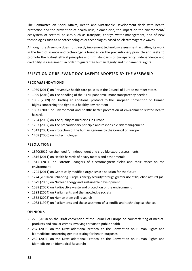The Committee on Social Affairs, Health and Sustainable Development deals with health protection and the prevention of health risks; biomedicine, the impact on the environment/ ecosystem of sectoral policies such as transport, energy, water management, and of new technologies such as nanotechnologies or technologies based on electromagnetic waves.

Although the Assembly does not directly implement technology assessment activities, its work in the field of science and technology is founded on the precautionary principle and seeks to promote the highest ethical principles and firm standards of transparency, independence and credibility in assessment, in order to guarantee human dignity and fundamental rights.

### **SELECTION OF RELEVANT DOCUMENTS ADOPTED BY THE ASSEMBLY**

#### **RECOMMENDATIONS**

- **>** 1959 (2011) on Preventive health care policies in the Council of Europe member states
- **>** 1929 (2010) on The handling of the H1N1 pandemic: more transparency needed
- **>** 1885 (2009) on Drafting an additional protocol to the European Convention on Human Rights concerning the right to a healthy environment
- **>** 1863 (2009) on Environment and health: better prevention of environment‐related health hazards
- **>** 1794 (2007) on The quality of medicines in Europe
- **>** 1787 (2007) on The precautionary principle and responsible risk management
- **>** 1512 (2001) on Protection of the human genome by the Council of Europe
- **>** 1468 (2000) on Biotechnologies

#### **RESOLUTIONS**

- **>** 1870(2012) on the need for independent and credible expert assessments
- **>** 1816 (2011) on Health hazards of heavy metals and other metals
- **>** 1815 (2011) on Potential dangers of electromagnetic fields and their effect on the environment
- **>** 1795 (2011) on Genetically modified organisms: a solution for the future
- **>** 1774 (2010) on Enhancing Europe's energy security through greater use of liquefied natural gas
- **>** 1679 (2009) on Nuclear energy and sustainable development
- **>** 1588 (2007) on Radioactive waste and protection of the environment
- **>** 1393 (2004) on Parliaments and the knowledge society
- **>** 1352 (2003) on Human stem cell research
- **>** 1083 (1996) on Parliaments and the assessment of scientific and technological choices

#### **OPINIONS**

- **>** 276 (2010) on the Draft convention of the Council of Europe on counterfeiting of medical products and similar crimes involving threats to public health
- **>** 267 (2008) on the Draft additional protocol to the Convention on Human Rights and biomedicine concerning genetic testing for health purposes
- **>** 252 (2004) on the Draft additional Protocol to the Convention on Human Rights and Biomedicine on Biomedical Research;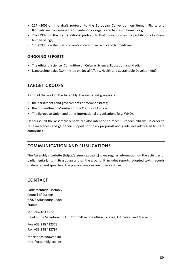- **>** 227 (2001)on the draft protocol to the European Convention on Human Rights and Biomedicine, concerning transplantation or organs and tissues of human origin;
- **>** 202 (1997) on the draft additional protocol to that convention on the prohibition of cloning human beings;
- **>** 198 (1996) on the draft convention on human rights and biomedicine;

#### **ONGOING REPORTS**

- **>** The ethics of science (Committee on Culture, Science, Education and Media)
- **>** Nanotechnologies (Committee on Social Affairs, Health and Sustainable Development)

### **TARGET GROUPS**

As for all the work of the Assembly, the key target groups are:

- **>** the parliaments and governments of member states;
- **>** the Committee of Ministers of the Council of Europe;
- **>** The European Union and other international organisations (e.g. WHO).

Of course, all the Assembly reports are also intended to reach European citizens, in order to raise awareness and gain their support for policy proposals and guidelines addressed to state authorities.

### **COMMUNICATION AND PUBLICATIONS**

The Assembly's website [http://assembly.coe.int] gives regular information on the activities of parliamentarians, in Strasbourg and on the ground. It includes reports, adopted texts, records of debates and speeches. The plenary sessions are broadcast live.

# **CONTACT**

Parliamentary Assembly Council of Europe 67075 Strasbourg Cedex France

Mr Roberto Fasino Head of the Secretariat, PACE Committee on Culture, Science, Education and Media

Fon +33 3 88412373 Fax +33 3 88412797

roberto.fasino@coe.int http://assembly.coe.int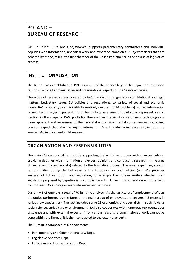# **POLAND – BUREAU OF RESEARCH**

BAS (in Polish: Biuro Analiz Sejmowych) supports parliamentary committees and individual deputies with information, analytical work and expert opinions on all subject matters that are debated by the Sejm (i.e. the first chamber of the Polish Parliament) in the course of legislative process.

# **INSTITUTIONALISATION**

The Bureau was established in 1991 as a unit of the Chancellery of the Sejm – an institution responsible for all administrative and organisational aspects of the Sejm's activities.

The scope of research areas covered by BAS is wide and ranges from constitutional and legal matters, budgetary issues, EU policies and regulations, to variety of social and economic issues. BAS is not a typical TA institute (entirely devoted to TA problems): so far, information on new technologies in general and on technology assessment in particular, represent a small fraction in the scope of BAS' portfolio. However, as the significance of new technologies is more apparent and awareness of their societal and environmental consequences is growing, one can expect that also the Sejm's interest in TA will gradually increase bringing about a greater BAS involvement in TA research.

# **ORGANISATION AND RESPONSIBILITIES**

The main BAS responsibilities include: supporting the legislative process with an expert advice, providing deputies with information and expert opinions and conducting research (in the area of law, economy and society) related to the legislative process. The most expanding area of responsibilities during the last years is the European law and policies (e.g. BAS provides analyses of EU institutions and legislation, for example the Bureau verifies whether draft legislation proposed by deputies is in compliance with EU law). In cooperation with the Sejm committees BAS also organises conferences and seminars.

Currently BAS employs a total of 70 full‐time analysts. As the structure of employment reflects the duties performed by the Bureau, the main group of employees are lawyers (45 experts in various law specialities). The rest includes some 15 economists and specialists in such fields as social science, agriculture or environment. BAS also cooperates with numerous representatives of science and with external experts. If, for various reasons, a commissioned work cannot be done within the Bureau, it is then contracted to the external experts.

The Bureau is composed of 6 departments:

- **>** Parliamentary and Constitutional Law Dept.
- **>** Legislative Analyses Dept.
- **>** European and International Law Dept.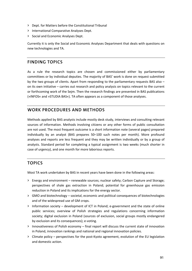- **>** Dept. for Matters before the Constitutional Tribunal
- **>** International Comparative Analyses Dept.
- **>** Social and Economic Analyses Dept.

Currently it is only the Social and Economic Analyses Department that deals with questions on new technologies and TA.

### **FINDING TOPICS**

As a rule the research topics are chosen and commissioned either by parliamentary committees or by individual deputies. The majority of BAS' work is done on request submitted by the two groups of clients. Apart from responding to the parliamentary requests BAS also – on its own initiative – carries out research and policy analysis on topics relevant to the current or forthcoming work of the Sejm. Then the research findings are presented in BAS publications (»INFOS« and »STUDIA BAS«). TA often appears as a component of those analyses.

### **WORK PROCEDURES AND METHODS**

Methods applied by BAS analysts include mostly desk study, interviews and consulting relevant sources of information. Methods involving citizens or any other forms of public consultation are not used. The most frequent outcome is a short information note (several pages) prepared individually by an analyst (BAS prepares 50–100 such notes per month). More profound analyses and reports are less frequent and they may be written individually or by a group of analysts. Standard period for completing a typical assignment is two weeks (much shorter in case of urgency), and one month for more laborious reports.

### **TOPICS**

Most TA work undertaken by BAS in recent years have been done in the following areas:

- **>** Energy and environment renewable sources; nuclear safety; Carbon Capture and Storage; perspectives of shale gas extraction in Poland; potential for greenhouse gas emission reduction in Poland and its implications for the energy sector.
- **>** GMO and biotechnology societal, economic and political consequences of biotechnologies and of the widespread use of GM crops.
- **>** Information society development of ICT in Poland; e‐government and the state of online public services; overview of Polish strategies and regulations concerning information society; digital exclusion in Poland (sources of exclusion, social groups mostly endangered by exclusion and its consequences); e‐voting.
- **>** Innovativeness of Polish economy final report will discuss the current state of innovation in Poland, innovation rankings and national and regional innovation policies.
- **>** Climate policy perspectives for the post‐Kyoto agreement, evolution of the EU legislation and domestic action.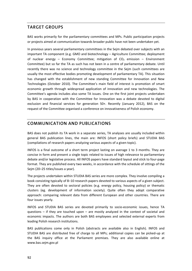# **TARGET GROUPS**

BAS works primarily for the parliamentary committees and MPs. Public participation projects or projects aimed at communication towards broader public have not been undertaken yet.

In previous years several parliamentary committees in the Sejm debated over subjects with an important TA component (e.g. GMO and biotechnology – Agriculture Committee; deployment of nuclear energy – Economy Committee; mitigation of  $CO<sub>2</sub>$  emission – Environment Committee) but so far the TA as such has not been in a centre of parliamentary debate. Until recently there was no science and technology committee in the Sejm (such committees are usually the most effective bodies promoting development of parliamentary TA). This situation has changed with the establishment of new standing Committee for Innovation and New Technologies (October 2010). The Committee's main field of interest is promotion of smart economic growth through widespread application of innovation and new technologies. The Committee's agenda includes also some TA issues. One on the first joint projects undertaken by BAS in cooperation with the Committee for Innovation was a debate devoted to digital exclusion and financial services for generation 50+. Recently (January 2012), BAS on the request of the Committee organised a conference on innovativeness of Polish economy.

# **COMMUNICATION AND PUBLICATIONS**

BAS does not publish its TA work in a separate series, TA analyses are usually included within general BAS publication lines, the main are: INFOS (short policy briefs) and STUDIA BAS (compilations of research papers analyzing various aspects of a given topic).

INFOS is a final outcome of a short term project lasting on average 1 to 3 months. They are concise in form and present a single topic related to issues of high relevance to parliamentary debate and/or legislative process. All INFOS papers have standard layout and stick to four‐page format. They are published every two weeks, in accordance with the schedule of sittings of the Sejm (20–25 titles/issues a year).

The projects undertaken within STUDIA BAS series are more complex. They involve compiling a book consisting typically of 8–10 research papers devoted to various aspects of a given subject. They are often devoted to sectoral policies (e.g. energy policy, housing policy) or thematic clusters (eg. development of information society). Quite often they adopt comparative approach: comparing relevant data from different European and other countries. There are four issues yearly.

INFOS and STUDIA BAS series are devoted primarily to socio‐economic issues, hence TA questions  $-$  if they are touched upon  $-$  are mostly analyzed in the context of societal and economic impacts. The authors are both BAS employees and selected external experts from leading Polish research institutions.

BAS publications come only in Polish (abstracts are available also in English). INFOS and STUDIA BAS are distributed free of charge to all MPs; additional copies can be picked‐up at the BAS inquiry office at the Parliament premises. They are also available online at www.bas.sejm.gov.pl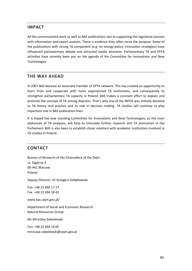# **IMPACT**

All the commissioned work as well as BAS publications aim at supporting the legislative process with information and expert analysis. There is evidence they often serve the purpose. Some of the publications with strong TA component (e.g. on energy policy, innovation strategies) have influenced parliamentary debate and attracted media attention. Parliamentary TA and EPTA activities have recently been put on the agenda of the Committee for Innovations and New Technologies.

### **THE WAY AHEAD**

In 2007 BAS became an associate member of EPTA network. This has created an opportunity to learn from and cooperate with more experienced TA institutions, and consequently to strengthen parliamentary TA capacity in Poland. BAS makes a constant effort to explain and promote the concept of TA among deputies. That's why one of the INFOS was entirely devoted to TA theory and practice and its role in decision making. TA studies will continue to play important role in BAS publication lines.

It is hoped the new standing Committee for Innovations and New Technologies, as the main addressee of TA analyses, will help to stimulate further research and TA promotion in the Parliament. BAS is also keen to establish closer relations with academic institutions involved in TA studies in Poland.

### **CONTACT**

Bureau of Research of the Chancellery of the Sejm ul. Zagórna 3 00‐441 Warsaw Poland Deputy Director: Dr Grzegorz Gołębiowski Fon +48 22 694 17 27 Fax +48 22 694 18 65 www.bas.sejm.gov.pl/ Department of Social and Economic Research Natural Resources Group Mr Miroslaw Sobolewski Fon +48 22 694 10 65 miroslaw.sobolewski@sejm.gov.pl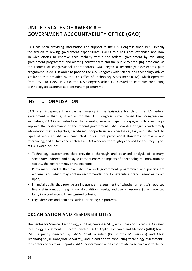# **UNITED STATES OF AMERICA – GOVERNMENT ACCOUNTABILITY OFFICE (GAO)**

GAO has been providing information and support to the U.S. Congress since 1921. Initially focused on reviewing government expenditures, GAO's role has since expanded and now includes efforts to improve accountability within the federal government by evaluating government programmes and alerting policymakers and the public to emerging problems. At the request of congressional appropriators, GAO began a technology assessments pilot programme in 2001 in order to provide the U.S. Congress with science and technology advice similar to that provided by the U.S. Office of Technology Assessment (OTA), which operated from 1972 to 1995. In 2008, the U.S. Congress asked GAO asked to continue conducting technology assessments as a permanent programme.

### **INSTITUTIONALISATION**

GAO is an independent, nonpartisan agency in the legislative branch of the U.S. federal government – that is, it works for the U.S. Congress. Often called the »congressional watchdog«, GAO investigates how the federal government spends taxpayer dollars and helps improve the performance of the federal government. GAO provides Congress with timely information that is objective, fact-based, nonpartisan, non-ideological, fair, and balanced. All types of work at GAO are conducted under strict professional standards of review and referencing, and all facts and analyses in GAO work are thoroughly checked for accuracy. Types of GAO work include:

- **>** Technology assessments that provide a thorough and balanced analysis of primary, secondary, indirect, and delayed consequences or impacts of a technological innovation on society, the environment, or the economy;
- **>** Performance audits that evaluate how well government programmes and policies are working, and which may contain recommendations for executive branch agencies to act upon;
- **>** Financial audits that provide an independent assessment of whether an entity's reported financial information (e.g. financial condition, results, and use of resources) are presented fairly in accordance with recognized criteria;
- **>** Legal decisions and opinions, such as deciding bid protests.

# **ORGANISATION AND RESPONSIBILITIES**

The Center for Science, Technology, and Engineering (CSTE), which has conducted GAO's seven technology assessments, is located within GAO's Applied Research and Methods (ARM) team. CSTE is jointly directed by GAO's Chief Scientist (Dr. Timothy M. Persons) and Chief Technologist (Dr. Nabajyoti Barkakati), and in addition to conducting technology assessments, the center conducts or supports GAO's performance audits that relate to science and technical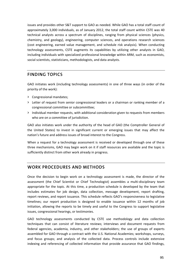issues and provides other S&T support to GAO as needed. While GAO has a total staff count of approximately 3,000 individuals, as of January 2012, the total staff count within CSTE was 40 technical analysts across a spectrum of disciplines, ranging from physical sciences (physics, chemistry, and geology), engineering, computer sciences, and operations research sciences (cost engineering, earned value management, and schedule risk analysis). When conducting technology assessments, CSTE augments its capabilities by utilizing other analysts in GAO, including individuals with specialized professional knowledge within ARM, such as economists, social scientists, statisticians, methodologists, and data analysts.

### **FINDING TOPICS**

GAO initiates work (including technology assessments) in one of three ways (in order of the priority of the work):

- **>** Congressional mandates;
- **>** Letter of request from senior congressional leaders or a chairman or ranking member of a congressional committee or subcommittee;
- **>** Individual member requests, with additional consideration given to requests from members who are on a committee of jurisdiction.

GAO also initiates work under the authority of the head of GAO (the Comptroller General of the United States) to invest in significant current or emerging issues that may affect the nation's future and address issues of broad interest to the Congress.

When a request for a technology assessment is received or developed through one of these three mechanisms, GAO may begin work on it if staff resources are available and the topic is sufficiently distinct from other work already in progress.

# **WORK PROCEDURES AND METHODS**

Once the decision to begin work on a technology assessment is made, the director of the assessment (the Chief Scientist or Chief Technologist) assembles a multi‐disciplinary team appropriate for the topic. At this time, a production schedule is developed by the team that includes estimates for job design, data collection, message development, report drafting, report reviews, and report issuance. This schedule reflects GAO's responsiveness to legislative timelines; our report production is designed to enable issuance within 12 months of job initiation, allowing the reports to be timely and useful to the Congress to support legislative issues, congressional hearings, or testimonies.

GAO technology assessments conducted by CSTE use methodology and data collection techniques that can consist of literature reviews; interviews and document requests from federal agencies, academia, industry, and other stakeholders; the use of groups of experts assembled for GAO through a contract with the U.S. National Academies; workshops, surveys, and focus groups; and analysis of the collected data. Process controls include extensive indexing and referencing of collected information that provide assurance that GAO findings,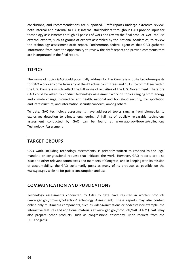conclusions, and recommendations are supported. Draft reports undergo extensive review, both internal and external to GAO; internal stakeholders throughout GAO provide input for technology assessments through all phases of work and review the final product. GAO can use external experts, such as groups of experts assembled by the National Academies, to review the technology assessment draft report. Furthermore, federal agencies that GAO gathered information from have the opportunity to review the draft report and provide comments that are incorporated in the final report.

# **TOPICS**

The range of topics GAO could potentially address for the Congress is quite broad—requests for GAO work can come from any of the 41 active committees and 181 sub‐committees within the U.S. Congress which reflect the full range of activities of the U.S. Government. Therefore GAO could be asked to conduct technology assessment work on topics ranging from energy and climate change, biomedical and health, national and homeland security, transportation and infrastructure, and information security concerns, among others.

To date, GAO technology assessments have addressed topics ranging from biometrics to explosives detection to climate engineering. A full list of publicly releasable technology assessment conducted by GAO can be found at www.gao.gov/browse/collection/ Technology\_Assessment.

### **TARGET GROUPS**

GAO work, including technology assessments, is primarily written to respond to the legal mandate or congressional request that initiated the work. However, GAO reports are also issued to other relevant committees and members of Congress, and in keeping with its mission of accountability, the GAO customarily posts as many of its products as possible on the www.gao.gov website for public consumption and use.

# **COMMUNICATION AND PUBLICATIONS**

Technology assessments conducted by GAO to date have resulted in written products (www.gao.gov/browse/collection/Technology\_Assessment). These reports may also contain online‐only multimedia components, such as videos/animations or podcasts (for example, the interactive features and additional materials at www.gao.gov/products/GAO‐11‐71). GAO may also prepare other products, such as congressional testimony, upon request from the U.S. Congress.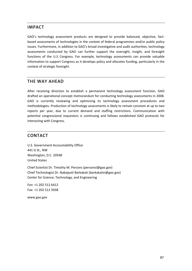### **IMPACT**

GAO's technology assessment products are designed to provide balanced, objective, factbased assessments of technologies in the context of federal programmes and/or public policy issues. Furthermore, in addition to GAO's broad investigative and audit authorities, technology assessments conducted by GAO can further support the oversight, insight, and foresight functions of the U.S. Congress. For example, technology assessments can provide valuable information to support Congress as it develops policy and allocates funding, particularly in the context of strategic foresight.

## **THE WAY AHEAD**

After receiving direction to establish a permanent technology assessment function, GAO drafted an operational concept memorandum for conducting technology assessments in 2008. GAO is currently reviewing and optimizing its technology assessment procedures and methodologies. Production of technology assessments is likely to remain constant at up to two reports per year, due to current demand and staffing restrictions. Communication with potential congressional requestors is continuing and follows established GAO protocols for interacting with Congress.

### **CONTACT**

U.S. Government Accountability Office 441 G St., NW Washington, D.C. 20548 United States

Chief Scientist Dr. Timothy M. Persons (personst@gao.gov) Chief Technologist Dr. Nabajyoti Barkakati (barkakatin@gao.gov) Center for Science, Technology, and Engineering

Fon +1 202 512 6412 Fax: +1 202 512 3938

www.gao.gov